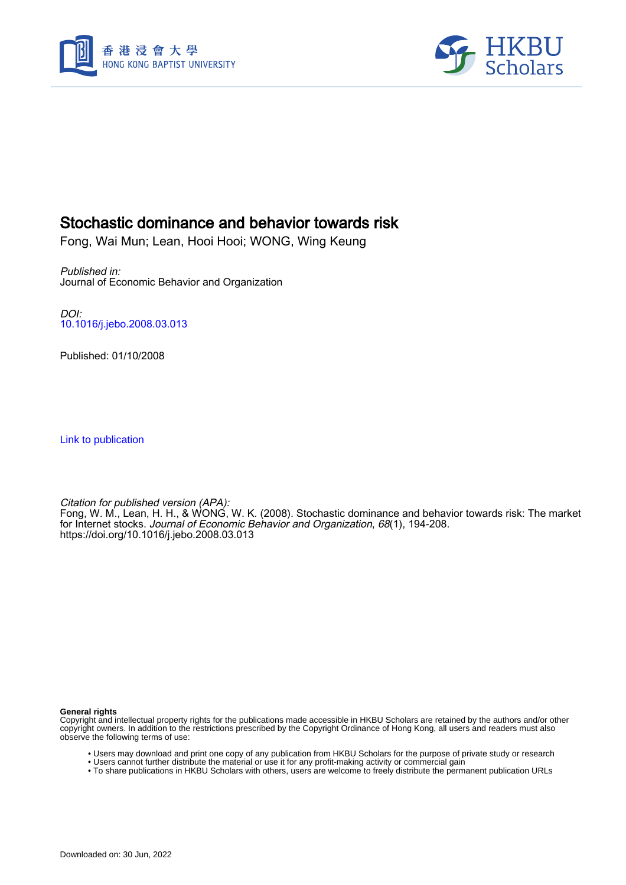



# Stochastic dominance and behavior towards risk

Fong, Wai Mun; Lean, Hooi Hooi; WONG, Wing Keung

Published in: Journal of Economic Behavior and Organization

DOI: [10.1016/j.jebo.2008.03.013](https://doi.org/10.1016/j.jebo.2008.03.013)

Published: 01/10/2008

[Link to publication](https://scholars.hkbu.edu.hk/en/publications/d096f53c-b887-44d8-939b-2852ecec3b7f)

Citation for published version (APA): Fong, W. M., Lean, H. H., & WONG, W. K. (2008). Stochastic dominance and behavior towards risk: The market for Internet stocks. Journal of Economic Behavior and Organization, 68(1), 194-208. <https://doi.org/10.1016/j.jebo.2008.03.013>

**General rights**

Copyright and intellectual property rights for the publications made accessible in HKBU Scholars are retained by the authors and/or other copyright owners. In addition to the restrictions prescribed by the Copyright Ordinance of Hong Kong, all users and readers must also observe the following terms of use:

- Users may download and print one copy of any publication from HKBU Scholars for the purpose of private study or research
- Users cannot further distribute the material or use it for any profit-making activity or commercial gain
- To share publications in HKBU Scholars with others, users are welcome to freely distribute the permanent publication URLs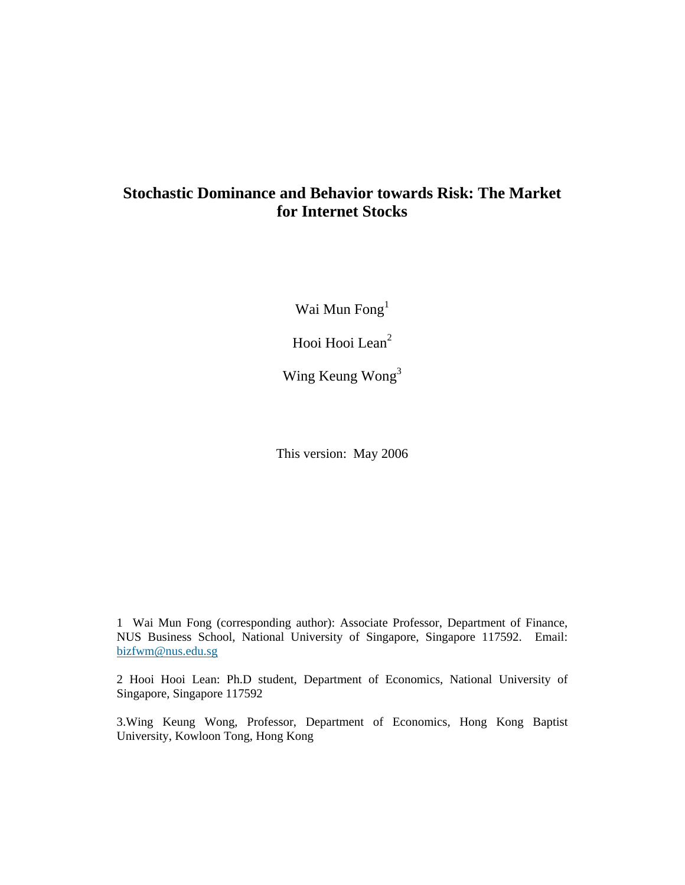# **Stochastic Dominance and Behavior towards Risk: The Market for Internet Stocks**

Wai Mun Fong<sup>1</sup>

Hooi Hooi Lean<sup>2</sup>

Wing Keung Wong<sup>3</sup>

This version: May 2006

1 Wai Mun Fong (corresponding author): Associate Professor, Department of Finance, NUS Business School, National University of Singapore, Singapore 117592. Email: bizfwm@nus.edu.sg

2 Hooi Hooi Lean: Ph.D student, Department of Economics, National University of Singapore, Singapore 117592

3.Wing Keung Wong, Professor, Department of Economics, Hong Kong Baptist University, Kowloon Tong, Hong Kong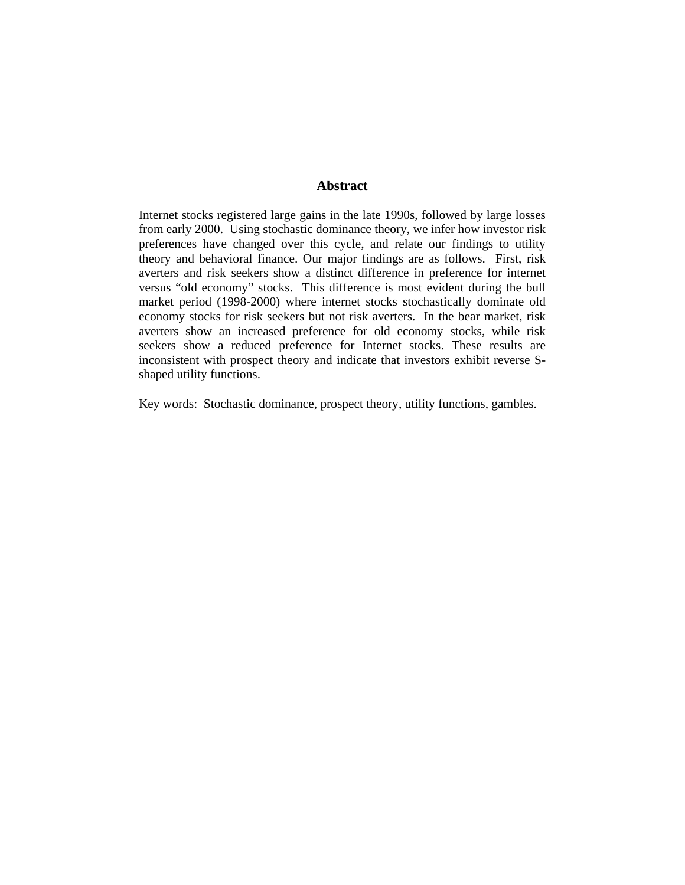## **Abstract**

Internet stocks registered large gains in the late 1990s, followed by large losses from early 2000. Using stochastic dominance theory, we infer how investor risk preferences have changed over this cycle, and relate our findings to utility theory and behavioral finance. Our major findings are as follows. First, risk averters and risk seekers show a distinct difference in preference for internet versus "old economy" stocks. This difference is most evident during the bull market period (1998-2000) where internet stocks stochastically dominate old economy stocks for risk seekers but not risk averters. In the bear market, risk averters show an increased preference for old economy stocks, while risk seekers show a reduced preference for Internet stocks. These results are inconsistent with prospect theory and indicate that investors exhibit reverse Sshaped utility functions.

Key words: Stochastic dominance, prospect theory, utility functions, gambles.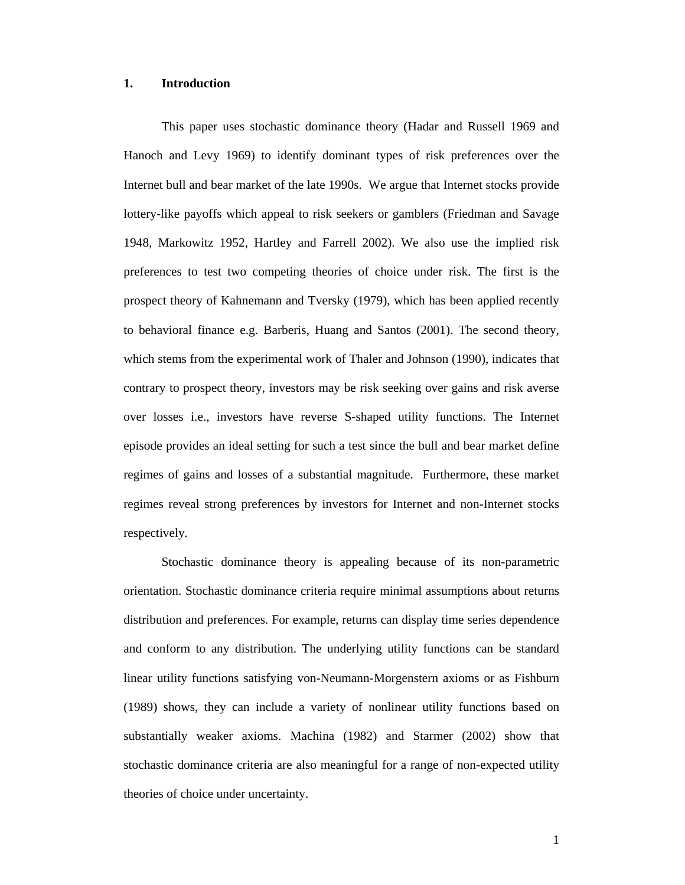#### **1. Introduction**

This paper uses stochastic dominance theory (Hadar and Russell 1969 and Hanoch and Levy 1969) to identify dominant types of risk preferences over the Internet bull and bear market of the late 1990s. We argue that Internet stocks provide lottery-like payoffs which appeal to risk seekers or gamblers (Friedman and Savage 1948, Markowitz 1952, Hartley and Farrell 2002). We also use the implied risk preferences to test two competing theories of choice under risk. The first is the prospect theory of Kahnemann and Tversky (1979), which has been applied recently to behavioral finance e.g. Barberis, Huang and Santos (2001). The second theory, which stems from the experimental work of Thaler and Johnson (1990), indicates that contrary to prospect theory, investors may be risk seeking over gains and risk averse over losses i.e., investors have reverse S-shaped utility functions. The Internet episode provides an ideal setting for such a test since the bull and bear market define regimes of gains and losses of a substantial magnitude. Furthermore, these market regimes reveal strong preferences by investors for Internet and non-Internet stocks respectively.

Stochastic dominance theory is appealing because of its non-parametric orientation. Stochastic dominance criteria require minimal assumptions about returns distribution and preferences. For example, returns can display time series dependence and conform to any distribution. The underlying utility functions can be standard linear utility functions satisfying von-Neumann-Morgenstern axioms or as Fishburn (1989) shows, they can include a variety of nonlinear utility functions based on substantially weaker axioms. Machina (1982) and Starmer (2002) show that stochastic dominance criteria are also meaningful for a range of non-expected utility theories of choice under uncertainty.

1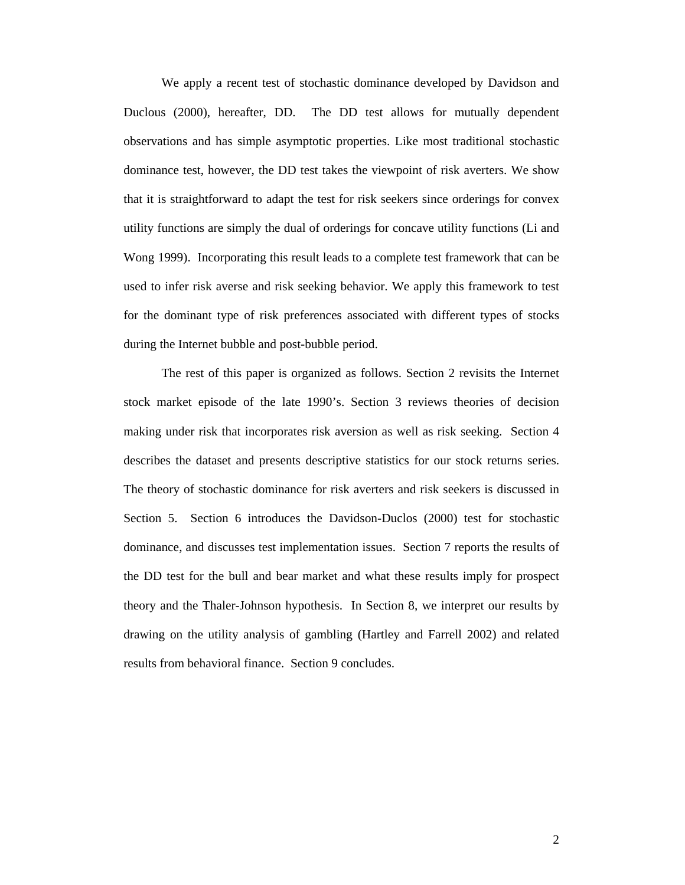We apply a recent test of stochastic dominance developed by Davidson and Duclous (2000), hereafter, DD. The DD test allows for mutually dependent observations and has simple asymptotic properties. Like most traditional stochastic dominance test, however, the DD test takes the viewpoint of risk averters. We show that it is straightforward to adapt the test for risk seekers since orderings for convex utility functions are simply the dual of orderings for concave utility functions (Li and Wong 1999). Incorporating this result leads to a complete test framework that can be used to infer risk averse and risk seeking behavior. We apply this framework to test for the dominant type of risk preferences associated with different types of stocks during the Internet bubble and post-bubble period.

 The rest of this paper is organized as follows. Section 2 revisits the Internet stock market episode of the late 1990's. Section 3 reviews theories of decision making under risk that incorporates risk aversion as well as risk seeking. Section 4 describes the dataset and presents descriptive statistics for our stock returns series. The theory of stochastic dominance for risk averters and risk seekers is discussed in Section 5. Section 6 introduces the Davidson-Duclos (2000) test for stochastic dominance, and discusses test implementation issues. Section 7 reports the results of the DD test for the bull and bear market and what these results imply for prospect theory and the Thaler-Johnson hypothesis. In Section 8, we interpret our results by drawing on the utility analysis of gambling (Hartley and Farrell 2002) and related results from behavioral finance. Section 9 concludes.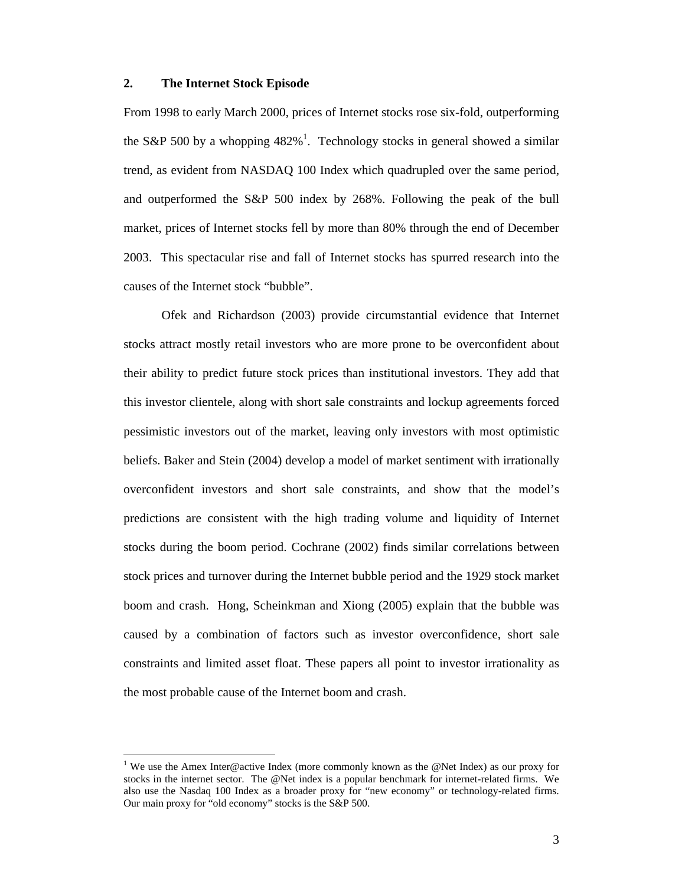## **2. The Internet Stock Episode**

From 1998 to early March 2000, prices of Internet stocks rose six-fold, outperforming the S&P 500 by a whopping  $482\%$ <sup>1</sup>. Technology stocks in general showed a similar trend, as evident from NASDAQ 100 Index which quadrupled over the same period, and outperformed the S&P 500 index by 268%. Following the peak of the bull market, prices of Internet stocks fell by more than 80% through the end of December 2003. This spectacular rise and fall of Internet stocks has spurred research into the causes of the Internet stock "bubble".

Ofek and Richardson (2003) provide circumstantial evidence that Internet stocks attract mostly retail investors who are more prone to be overconfident about their ability to predict future stock prices than institutional investors. They add that this investor clientele, along with short sale constraints and lockup agreements forced pessimistic investors out of the market, leaving only investors with most optimistic beliefs. Baker and Stein (2004) develop a model of market sentiment with irrationally overconfident investors and short sale constraints, and show that the model's predictions are consistent with the high trading volume and liquidity of Internet stocks during the boom period. Cochrane (2002) finds similar correlations between stock prices and turnover during the Internet bubble period and the 1929 stock market boom and crash. Hong, Scheinkman and Xiong (2005) explain that the bubble was caused by a combination of factors such as investor overconfidence, short sale constraints and limited asset float. These papers all point to investor irrationality as the most probable cause of the Internet boom and crash.

 $\overline{a}$ 

<sup>&</sup>lt;sup>1</sup> We use the Amex Inter@active Index (more commonly known as the @Net Index) as our proxy for stocks in the internet sector. The @Net index is a popular benchmark for internet-related firms. We also use the Nasdaq 100 Index as a broader proxy for "new economy" or technology-related firms. Our main proxy for "old economy" stocks is the S&P 500.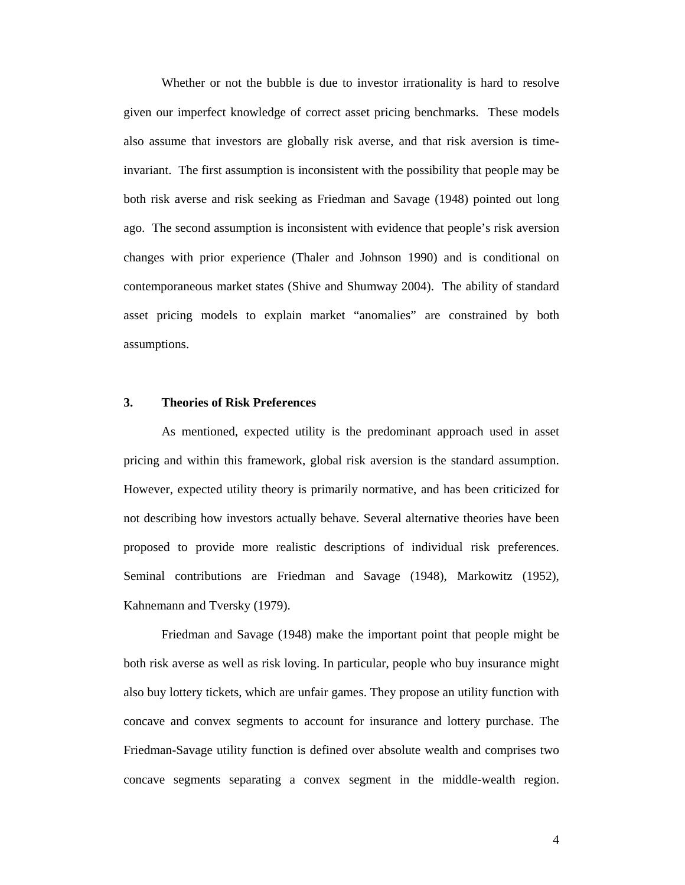Whether or not the bubble is due to investor irrationality is hard to resolve given our imperfect knowledge of correct asset pricing benchmarks. These models also assume that investors are globally risk averse, and that risk aversion is timeinvariant. The first assumption is inconsistent with the possibility that people may be both risk averse and risk seeking as Friedman and Savage (1948) pointed out long ago. The second assumption is inconsistent with evidence that people's risk aversion changes with prior experience (Thaler and Johnson 1990) and is conditional on contemporaneous market states (Shive and Shumway 2004). The ability of standard asset pricing models to explain market "anomalies" are constrained by both assumptions.

#### **3. Theories of Risk Preferences**

As mentioned, expected utility is the predominant approach used in asset pricing and within this framework, global risk aversion is the standard assumption. However, expected utility theory is primarily normative, and has been criticized for not describing how investors actually behave. Several alternative theories have been proposed to provide more realistic descriptions of individual risk preferences. Seminal contributions are Friedman and Savage (1948), Markowitz (1952), Kahnemann and Tversky (1979).

Friedman and Savage (1948) make the important point that people might be both risk averse as well as risk loving. In particular, people who buy insurance might also buy lottery tickets, which are unfair games. They propose an utility function with concave and convex segments to account for insurance and lottery purchase. The Friedman-Savage utility function is defined over absolute wealth and comprises two concave segments separating a convex segment in the middle-wealth region.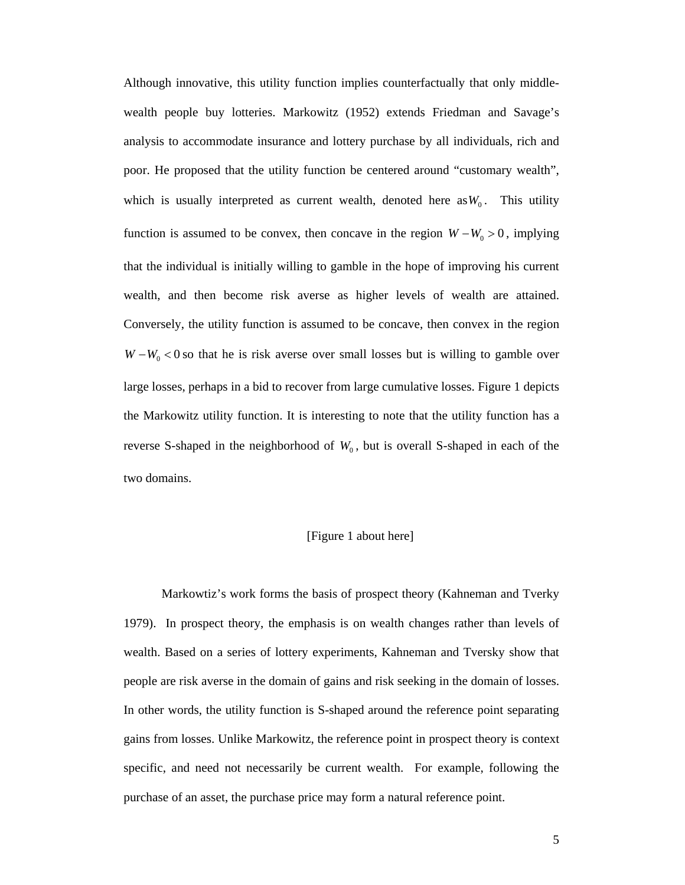Although innovative, this utility function implies counterfactually that only middlewealth people buy lotteries. Markowitz (1952) extends Friedman and Savage's analysis to accommodate insurance and lottery purchase by all individuals, rich and poor. He proposed that the utility function be centered around "customary wealth", which is usually interpreted as current wealth, denoted here as  $W_0$ . This utility function is assumed to be convex, then concave in the region  $W - W_0 > 0$ , implying that the individual is initially willing to gamble in the hope of improving his current wealth, and then become risk averse as higher levels of wealth are attained. Conversely, the utility function is assumed to be concave, then convex in the region  $W - W_0 < 0$  so that he is risk averse over small losses but is willing to gamble over large losses, perhaps in a bid to recover from large cumulative losses. Figure 1 depicts the Markowitz utility function. It is interesting to note that the utility function has a reverse S-shaped in the neighborhood of  $W_0$ , but is overall S-shaped in each of the two domains.

#### [Figure 1 about here]

Markowtiz's work forms the basis of prospect theory (Kahneman and Tverky 1979). In prospect theory, the emphasis is on wealth changes rather than levels of wealth. Based on a series of lottery experiments, Kahneman and Tversky show that people are risk averse in the domain of gains and risk seeking in the domain of losses. In other words, the utility function is S-shaped around the reference point separating gains from losses. Unlike Markowitz, the reference point in prospect theory is context specific, and need not necessarily be current wealth. For example, following the purchase of an asset, the purchase price may form a natural reference point.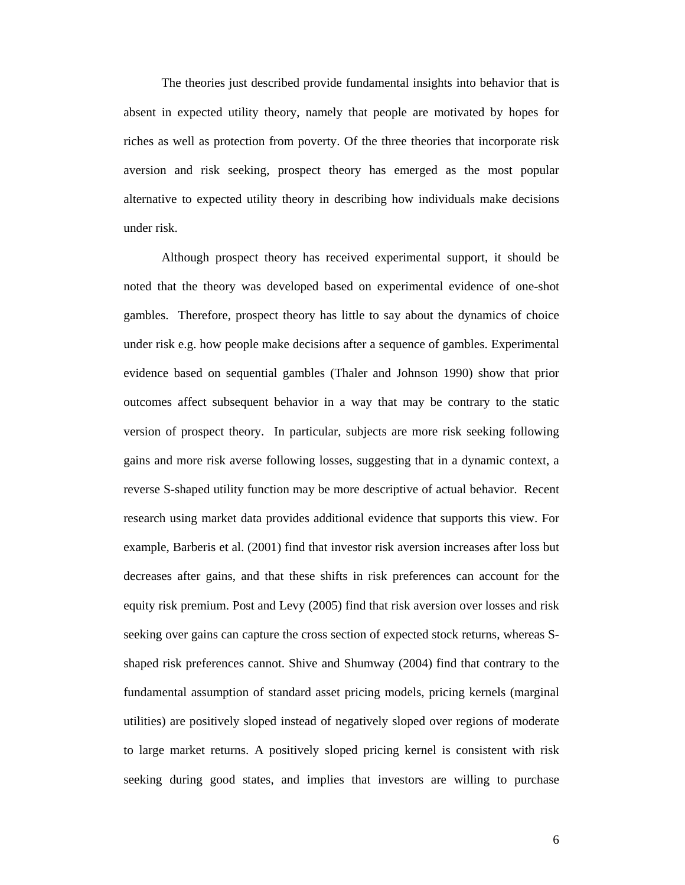The theories just described provide fundamental insights into behavior that is absent in expected utility theory, namely that people are motivated by hopes for riches as well as protection from poverty. Of the three theories that incorporate risk aversion and risk seeking, prospect theory has emerged as the most popular alternative to expected utility theory in describing how individuals make decisions under risk.

Although prospect theory has received experimental support, it should be noted that the theory was developed based on experimental evidence of one-shot gambles. Therefore, prospect theory has little to say about the dynamics of choice under risk e.g. how people make decisions after a sequence of gambles. Experimental evidence based on sequential gambles (Thaler and Johnson 1990) show that prior outcomes affect subsequent behavior in a way that may be contrary to the static version of prospect theory. In particular, subjects are more risk seeking following gains and more risk averse following losses, suggesting that in a dynamic context, a reverse S-shaped utility function may be more descriptive of actual behavior. Recent research using market data provides additional evidence that supports this view. For example, Barberis et al. (2001) find that investor risk aversion increases after loss but decreases after gains, and that these shifts in risk preferences can account for the equity risk premium. Post and Levy (2005) find that risk aversion over losses and risk seeking over gains can capture the cross section of expected stock returns, whereas Sshaped risk preferences cannot. Shive and Shumway (2004) find that contrary to the fundamental assumption of standard asset pricing models, pricing kernels (marginal utilities) are positively sloped instead of negatively sloped over regions of moderate to large market returns. A positively sloped pricing kernel is consistent with risk seeking during good states, and implies that investors are willing to purchase

6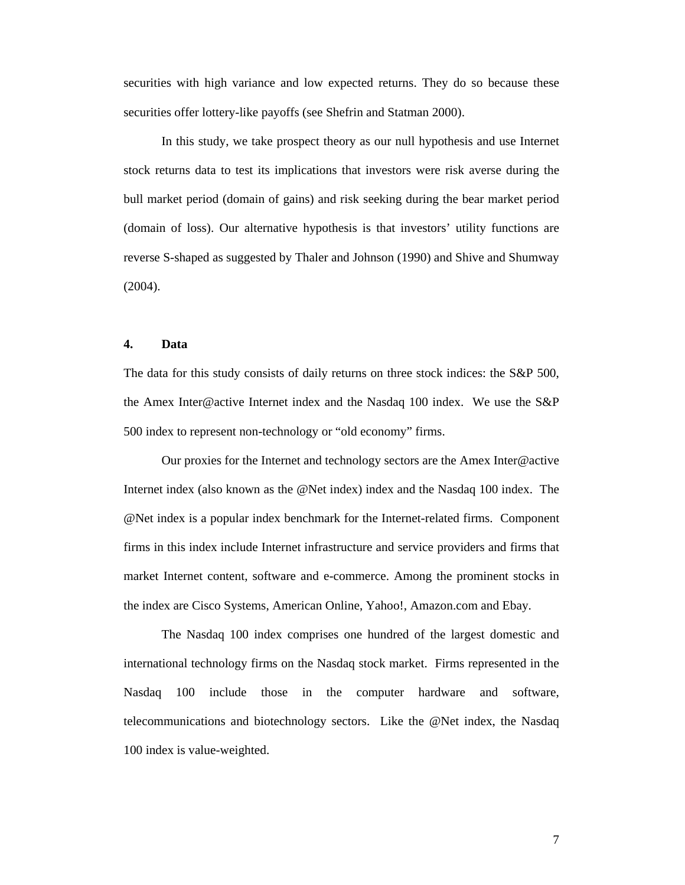securities with high variance and low expected returns. They do so because these securities offer lottery-like payoffs (see Shefrin and Statman 2000).

In this study, we take prospect theory as our null hypothesis and use Internet stock returns data to test its implications that investors were risk averse during the bull market period (domain of gains) and risk seeking during the bear market period (domain of loss). Our alternative hypothesis is that investors' utility functions are reverse S-shaped as suggested by Thaler and Johnson (1990) and Shive and Shumway (2004).

## **4. Data**

The data for this study consists of daily returns on three stock indices: the S&P 500, the Amex Inter@active Internet index and the Nasdaq 100 index. We use the S&P 500 index to represent non-technology or "old economy" firms.

Our proxies for the Internet and technology sectors are the Amex Inter@active Internet index (also known as the @Net index) index and the Nasdaq 100 index. The @Net index is a popular index benchmark for the Internet-related firms. Component firms in this index include Internet infrastructure and service providers and firms that market Internet content, software and e-commerce. Among the prominent stocks in the index are Cisco Systems, American Online, Yahoo!, Amazon.com and Ebay.

The Nasdaq 100 index comprises one hundred of the largest domestic and international technology firms on the Nasdaq stock market. Firms represented in the Nasdaq 100 include those in the computer hardware and software, telecommunications and biotechnology sectors. Like the @Net index, the Nasdaq 100 index is value-weighted.

7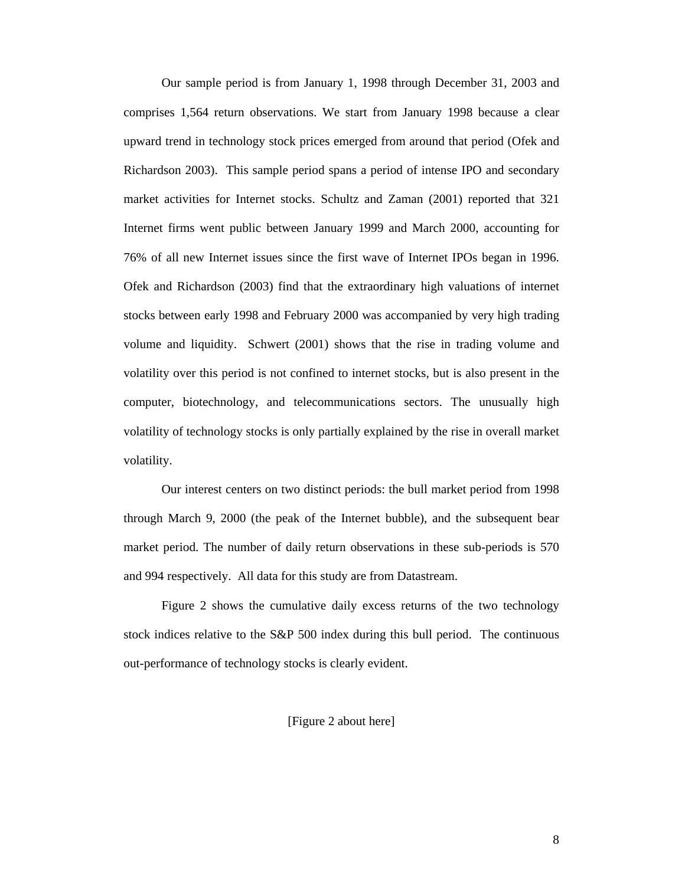Our sample period is from January 1, 1998 through December 31, 2003 and comprises 1,564 return observations. We start from January 1998 because a clear upward trend in technology stock prices emerged from around that period (Ofek and Richardson 2003). This sample period spans a period of intense IPO and secondary market activities for Internet stocks. Schultz and Zaman (2001) reported that 321 Internet firms went public between January 1999 and March 2000, accounting for 76% of all new Internet issues since the first wave of Internet IPOs began in 1996. Ofek and Richardson (2003) find that the extraordinary high valuations of internet stocks between early 1998 and February 2000 was accompanied by very high trading volume and liquidity. Schwert (2001) shows that the rise in trading volume and volatility over this period is not confined to internet stocks, but is also present in the computer, biotechnology, and telecommunications sectors. The unusually high volatility of technology stocks is only partially explained by the rise in overall market volatility.

Our interest centers on two distinct periods: the bull market period from 1998 through March 9, 2000 (the peak of the Internet bubble), and the subsequent bear market period. The number of daily return observations in these sub-periods is 570 and 994 respectively. All data for this study are from Datastream.

Figure 2 shows the cumulative daily excess returns of the two technology stock indices relative to the S&P 500 index during this bull period. The continuous out-performance of technology stocks is clearly evident.

## [Figure 2 about here]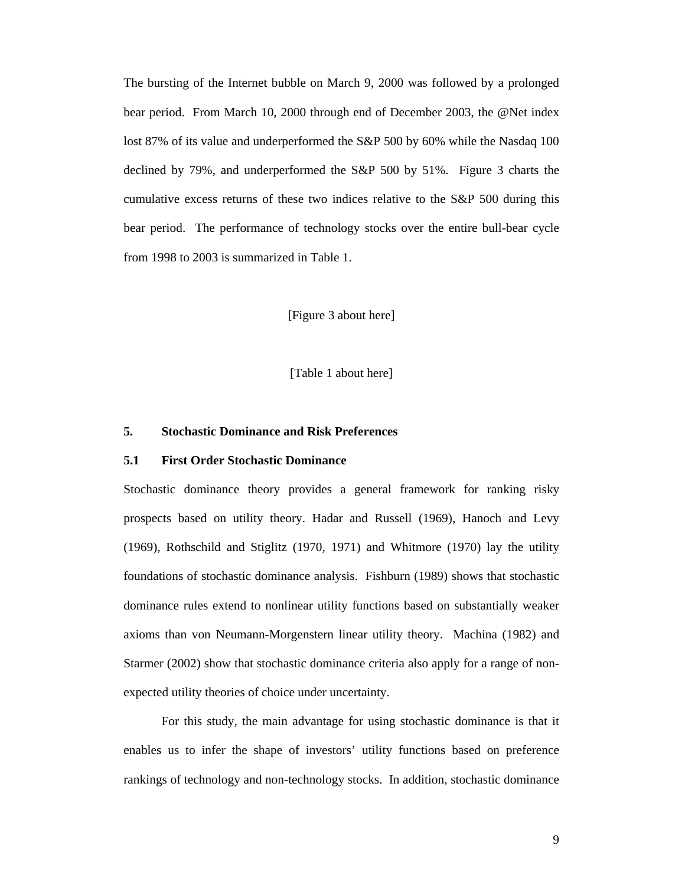The bursting of the Internet bubble on March 9, 2000 was followed by a prolonged bear period. From March 10, 2000 through end of December 2003, the @Net index lost 87% of its value and underperformed the S&P 500 by 60% while the Nasdaq 100 declined by 79%, and underperformed the S&P 500 by 51%. Figure 3 charts the cumulative excess returns of these two indices relative to the S&P 500 during this bear period. The performance of technology stocks over the entire bull-bear cycle from 1998 to 2003 is summarized in Table 1.

[Figure 3 about here]

[Table 1 about here]

#### **5. Stochastic Dominance and Risk Preferences**

## **5.1 First Order Stochastic Dominance**

Stochastic dominance theory provides a general framework for ranking risky prospects based on utility theory. Hadar and Russell (1969), Hanoch and Levy (1969), Rothschild and Stiglitz (1970, 1971) and Whitmore (1970) lay the utility foundations of stochastic dominance analysis. Fishburn (1989) shows that stochastic dominance rules extend to nonlinear utility functions based on substantially weaker axioms than von Neumann-Morgenstern linear utility theory. Machina (1982) and Starmer (2002) show that stochastic dominance criteria also apply for a range of nonexpected utility theories of choice under uncertainty.

For this study, the main advantage for using stochastic dominance is that it enables us to infer the shape of investors' utility functions based on preference rankings of technology and non-technology stocks. In addition, stochastic dominance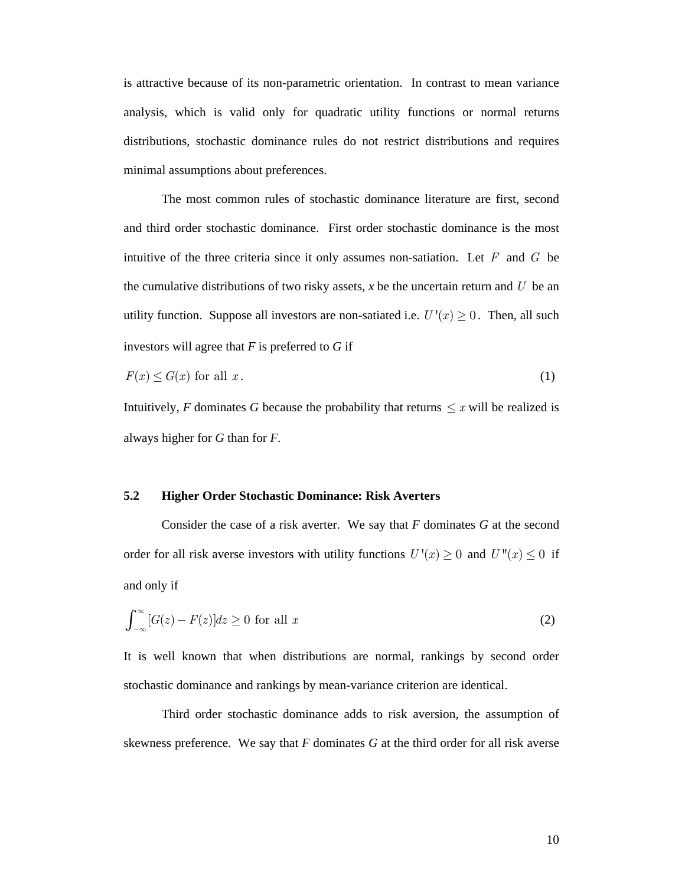is attractive because of its non-parametric orientation. In contrast to mean variance analysis, which is valid only for quadratic utility functions or normal returns distributions, stochastic dominance rules do not restrict distributions and requires minimal assumptions about preferences.

The most common rules of stochastic dominance literature are first, second and third order stochastic dominance. First order stochastic dominance is the most intuitive of the three criteria since it only assumes non-satiation. Let *F* and *G* be the cumulative distributions of two risky assets,  $x$  be the uncertain return and  $U$  be an utility function. Suppose all investors are non-satiated i.e.  $U'(x) \geq 0$ . Then, all such investors will agree that *F* is preferred to *G* if

$$
F(x) \le G(x) \text{ for all } x. \tag{1}
$$

Intuitively, *F* dominates *G* because the probability that returns  $\leq x$  will be realized is always higher for *G* than for *F.*

#### **5.2 Higher Order Stochastic Dominance: Risk Averters**

Consider the case of a risk averter. We say that *F* dominates *G* at the second order for all risk averse investors with utility functions  $U'(x) \ge 0$  and  $U''(x) \le 0$  if and only if

$$
\int_{-\infty}^{\infty} [G(z) - F(z)] dz \ge 0 \text{ for all } x
$$
 (2)

It is well known that when distributions are normal, rankings by second order stochastic dominance and rankings by mean-variance criterion are identical.

Third order stochastic dominance adds to risk aversion, the assumption of skewness preference. We say that *F* dominates *G* at the third order for all risk averse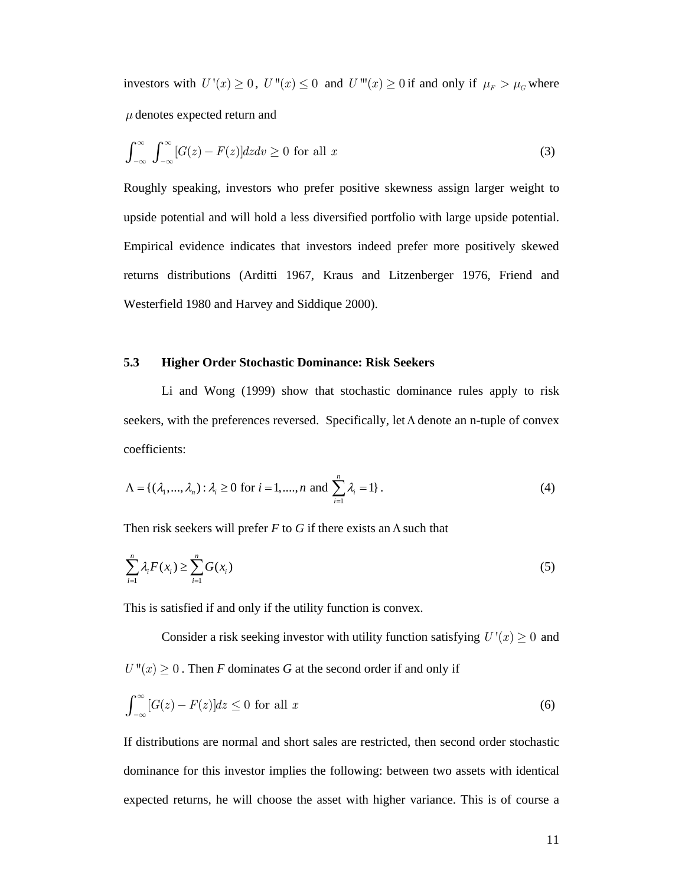investors with  $U'(x) \ge 0$ ,  $U''(x) \le 0$  and  $U'''(x) \ge 0$  if and only if  $\mu_F > \mu_G$  where *μ* denotes expected return and

$$
\int_{-\infty}^{\infty} \int_{-\infty}^{\infty} [G(z) - F(z)] dz dv \ge 0 \text{ for all } x
$$
 (3)

Roughly speaking, investors who prefer positive skewness assign larger weight to upside potential and will hold a less diversified portfolio with large upside potential. Empirical evidence indicates that investors indeed prefer more positively skewed returns distributions (Arditti 1967, Kraus and Litzenberger 1976, Friend and Westerfield 1980 and Harvey and Siddique 2000).

## **5.3 Higher Order Stochastic Dominance: Risk Seekers**

Li and Wong (1999) show that stochastic dominance rules apply to risk seekers, with the preferences reversed. Specifically, let Λ denote an n-tuple of convex coefficients:

$$
\Lambda = \{ (\lambda_1, ..., \lambda_n) : \lambda_i \ge 0 \text{ for } i = 1, ..., n \text{ and } \sum_{i=1}^n \lambda_i = 1 \}.
$$
 (4)

Then risk seekers will prefer  $F$  to  $G$  if there exists an  $\Lambda$  such that

$$
\sum_{i=1}^{n} \lambda_i F(x_i) \ge \sum_{i=1}^{n} G(x_i)
$$
\n<sup>(5)</sup>

This is satisfied if and only if the utility function is convex.

Consider a risk seeking investor with utility function satisfying  $U'(x) \geq 0$  and  $U''(x) \geq 0$ . Then *F* dominates *G* at the second order if and only if

$$
\int_{-\infty}^{\infty} [G(z) - F(z)]dz \le 0 \text{ for all } x \tag{6}
$$

If distributions are normal and short sales are restricted, then second order stochastic dominance for this investor implies the following: between two assets with identical expected returns, he will choose the asset with higher variance. This is of course a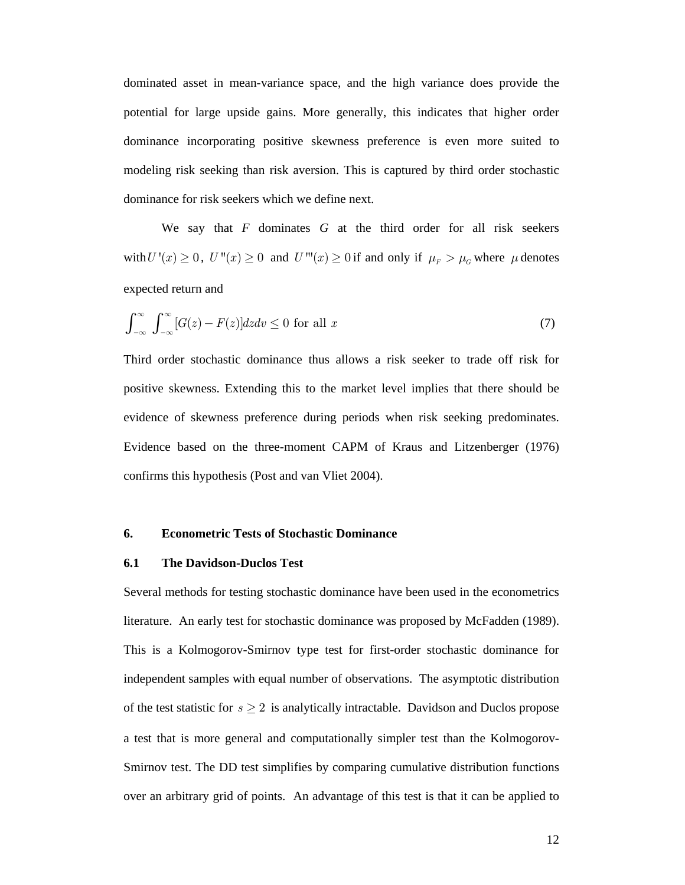dominated asset in mean-variance space, and the high variance does provide the potential for large upside gains. More generally, this indicates that higher order dominance incorporating positive skewness preference is even more suited to modeling risk seeking than risk aversion. This is captured by third order stochastic dominance for risk seekers which we define next.

We say that *F* dominates *G* at the third order for all risk seekers with  $U'(x) \ge 0$ ,  $U''(x) \ge 0$  and  $U'''(x) \ge 0$  if and only if  $\mu_F > \mu_G$  where  $\mu$  denotes expected return and

$$
\int_{-\infty}^{\infty} \int_{-\infty}^{\infty} [G(z) - F(z)] dz dv \le 0 \text{ for all } x \tag{7}
$$

Third order stochastic dominance thus allows a risk seeker to trade off risk for positive skewness. Extending this to the market level implies that there should be evidence of skewness preference during periods when risk seeking predominates. Evidence based on the three-moment CAPM of Kraus and Litzenberger (1976) confirms this hypothesis (Post and van Vliet 2004).

#### **6. Econometric Tests of Stochastic Dominance**

#### **6.1 The Davidson-Duclos Test**

Several methods for testing stochastic dominance have been used in the econometrics literature. An early test for stochastic dominance was proposed by McFadden (1989). This is a Kolmogorov-Smirnov type test for first-order stochastic dominance for independent samples with equal number of observations. The asymptotic distribution of the test statistic for  $s \geq 2$  is analytically intractable. Davidson and Duclos propose a test that is more general and computationally simpler test than the Kolmogorov-Smirnov test. The DD test simplifies by comparing cumulative distribution functions over an arbitrary grid of points. An advantage of this test is that it can be applied to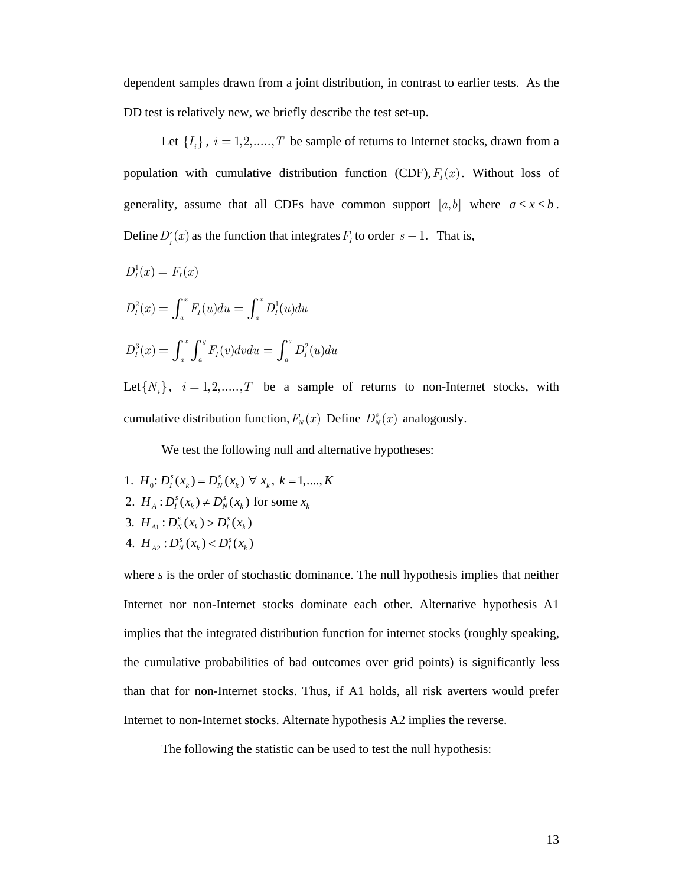dependent samples drawn from a joint distribution, in contrast to earlier tests. As the DD test is relatively new, we briefly describe the test set-up.

Let  $\{I_i\}$ ,  $i = 1, 2, \dots, T$  be sample of returns to Internet stocks, drawn from a population with cumulative distribution function (CDF),  $F_I(x)$ . Without loss of generality, assume that all CDFs have common support  $[a,b]$  where  $a \le x \le b$ . Define  $D_i^s(x)$  as the function that integrates  $F_i$  to order  $s - 1$ . That is,

 $D_I^1(x) = F_I(x)$  $D_l^2(x) = \int_a^x F_l(u) du = \int_a^x D_l^1(u) du$  $D_{I}^{3}(x) = \int_{a}^{x} \int_{a}^{y} F_{I}(v)dvdu = \int_{a}^{x} D_{I}^{2}(u)du$ 

Let  $\{N_i\}$ ,  $i = 1, 2, \dots, T$  be a sample of returns to non-Internet stocks, with cumulative distribution function,  $F_N(x)$  Define  $D_N^s(x)$  analogously.

We test the following null and alternative hypotheses:

- 1.  $H_0: D_i^s(x_k) = D_N^s(x_k) \ \forall \ x_k, \ k = 1, \dots, K$
- 2.  $H_A: D_l^s(x_k) \neq D_N^s(x_k)$  for some  $x_k$
- 3.  $H_{A1}: D_N^s(x_k) > D_I^s(x_k)$
- 4.  $H_{A2}: D_N^s(x_k) < D_I^s(x_k)$

where *s* is the order of stochastic dominance. The null hypothesis implies that neither Internet nor non-Internet stocks dominate each other. Alternative hypothesis A1 implies that the integrated distribution function for internet stocks (roughly speaking, the cumulative probabilities of bad outcomes over grid points) is significantly less than that for non-Internet stocks. Thus, if A1 holds, all risk averters would prefer Internet to non-Internet stocks. Alternate hypothesis A2 implies the reverse.

The following the statistic can be used to test the null hypothesis: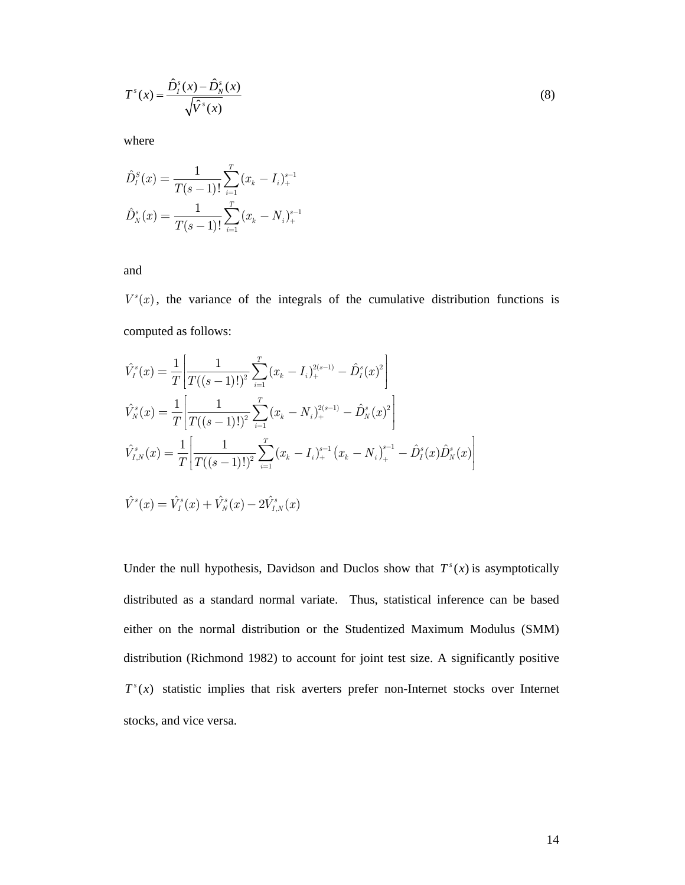$$
T^{s}(x) = \frac{\hat{D}_{I}^{s}(x) - \hat{D}_{N}^{s}(x)}{\sqrt{\hat{V}^{s}(x)}}
$$
(8)

where

$$
\hat{D}_I^s(x) = \frac{1}{T(s-1)!} \sum_{i=1}^T (x_k - I_i)_+^{s-1}
$$

$$
\hat{D}_N^s(x) = \frac{1}{T(s-1)!} \sum_{i=1}^T (x_k - N_i)_+^{s-1}
$$

and

 $V<sup>s</sup>(x)$ , the variance of the integrals of the cumulative distribution functions is computed as follows:

$$
\hat{V}_I^s(x) = \frac{1}{T} \left[ \frac{1}{T((s-1)!)^2} \sum_{i=1}^T (x_k - I_i)_+^{2(s-1)} - \hat{D}_I^s(x)^2 \right]
$$
\n
$$
\hat{V}_N^s(x) = \frac{1}{T} \left[ \frac{1}{T((s-1)!)^2} \sum_{i=1}^T (x_k - N_i)_+^{2(s-1)} - \hat{D}_N^s(x)^2 \right]
$$
\n
$$
\hat{V}_{I,N}^s(x) = \frac{1}{T} \left[ \frac{1}{T((s-1)!)^2} \sum_{i=1}^T (x_k - I_i)_+^{s-1} (x_k - N_i)_+^{s-1} - \hat{D}_I^s(x) \hat{D}_N^s(x) \right]
$$
\n
$$
\hat{V}^s(x) = \hat{V}_I^s(x) + \hat{V}_N^s(x) - 2\hat{V}_{I,N}^s(x)
$$

Under the null hypothesis, Davidson and Duclos show that  $T^s(x)$  is asymptotically distributed as a standard normal variate. Thus, statistical inference can be based either on the normal distribution or the Studentized Maximum Modulus (SMM) distribution (Richmond 1982) to account for joint test size. A significantly positive  $T<sup>s</sup>(x)$  statistic implies that risk averters prefer non-Internet stocks over Internet stocks, and vice versa.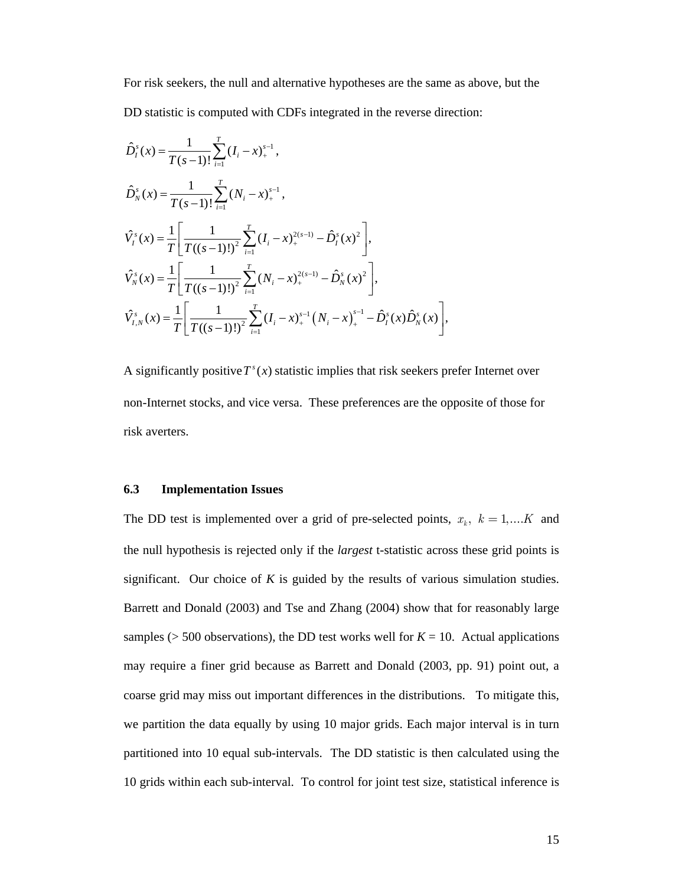For risk seekers, the null and alternative hypotheses are the same as above, but the DD statistic is computed with CDFs integrated in the reverse direction:

$$
\hat{D}_i^s(x) = \frac{1}{T(s-1)!} \sum_{i=1}^T (I_i - x)_{+}^{s-1},
$$
\n
$$
\hat{D}_N^s(x) = \frac{1}{T(s-1)!} \sum_{i=1}^T (N_i - x)_{+}^{s-1},
$$
\n
$$
\hat{V}_i^s(x) = \frac{1}{T} \left[ \frac{1}{T((s-1)!)^2} \sum_{i=1}^T (I_i - x)_{+}^{2(s-1)} - \hat{D}_i^s(x)^2 \right],
$$
\n
$$
\hat{V}_N^s(x) = \frac{1}{T} \left[ \frac{1}{T((s-1)!)^2} \sum_{i=1}^T (N_i - x)_{+}^{2(s-1)} - \hat{D}_N^s(x)^2 \right],
$$
\n
$$
\hat{V}_{i,N}^s(x) = \frac{1}{T} \left[ \frac{1}{T((s-1)!)^2} \sum_{i=1}^T (I_i - x)_{+}^{s-1} (N_i - x)_{+}^{s-1} - \hat{D}_i^s(x) \hat{D}_N^s(x) \right],
$$

A significantly positive  $T^s(x)$  statistic implies that risk seekers prefer Internet over non-Internet stocks, and vice versa. These preferences are the opposite of those for risk averters.

#### **6.3 Implementation Issues**

The DD test is implemented over a grid of pre-selected points,  $x_k$ ,  $k = 1,...K$  and the null hypothesis is rejected only if the *largest* t-statistic across these grid points is significant. Our choice of *K* is guided by the results of various simulation studies. Barrett and Donald (2003) and Tse and Zhang (2004) show that for reasonably large samples ( $> 500$  observations), the DD test works well for  $K = 10$ . Actual applications may require a finer grid because as Barrett and Donald (2003, pp. 91) point out, a coarse grid may miss out important differences in the distributions. To mitigate this, we partition the data equally by using 10 major grids. Each major interval is in turn partitioned into 10 equal sub-intervals. The DD statistic is then calculated using the 10 grids within each sub-interval. To control for joint test size, statistical inference is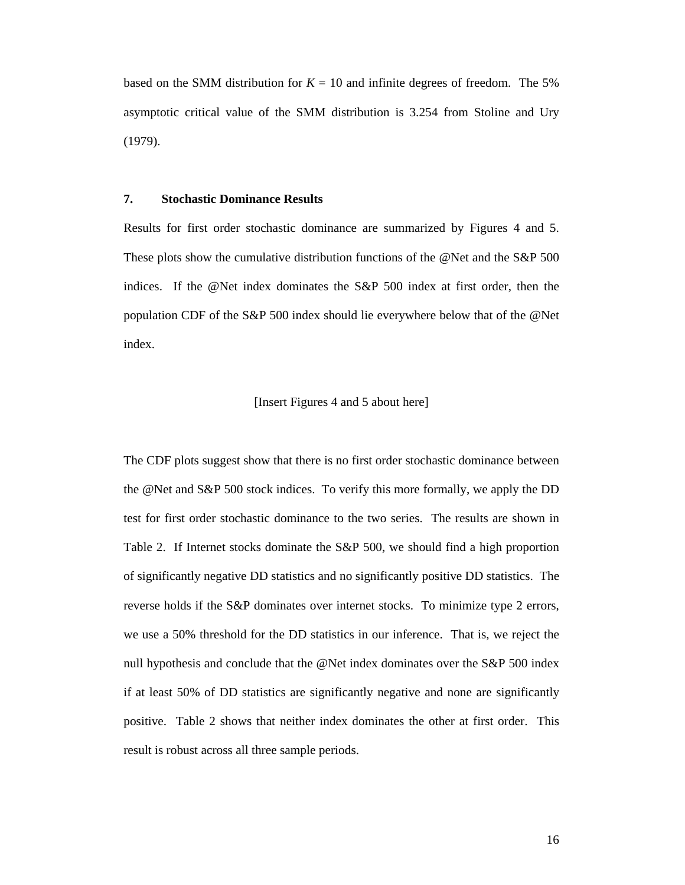based on the SMM distribution for  $K = 10$  and infinite degrees of freedom. The 5% asymptotic critical value of the SMM distribution is 3.254 from Stoline and Ury (1979).

#### **7. Stochastic Dominance Results**

Results for first order stochastic dominance are summarized by Figures 4 and 5. These plots show the cumulative distribution functions of the @Net and the S&P 500 indices. If the @Net index dominates the S&P 500 index at first order, then the population CDF of the S&P 500 index should lie everywhere below that of the @Net index.

#### [Insert Figures 4 and 5 about here]

The CDF plots suggest show that there is no first order stochastic dominance between the @Net and S&P 500 stock indices. To verify this more formally, we apply the DD test for first order stochastic dominance to the two series. The results are shown in Table 2. If Internet stocks dominate the S&P 500, we should find a high proportion of significantly negative DD statistics and no significantly positive DD statistics. The reverse holds if the S&P dominates over internet stocks. To minimize type 2 errors, we use a 50% threshold for the DD statistics in our inference. That is, we reject the null hypothesis and conclude that the @Net index dominates over the S&P 500 index if at least 50% of DD statistics are significantly negative and none are significantly positive. Table 2 shows that neither index dominates the other at first order. This result is robust across all three sample periods.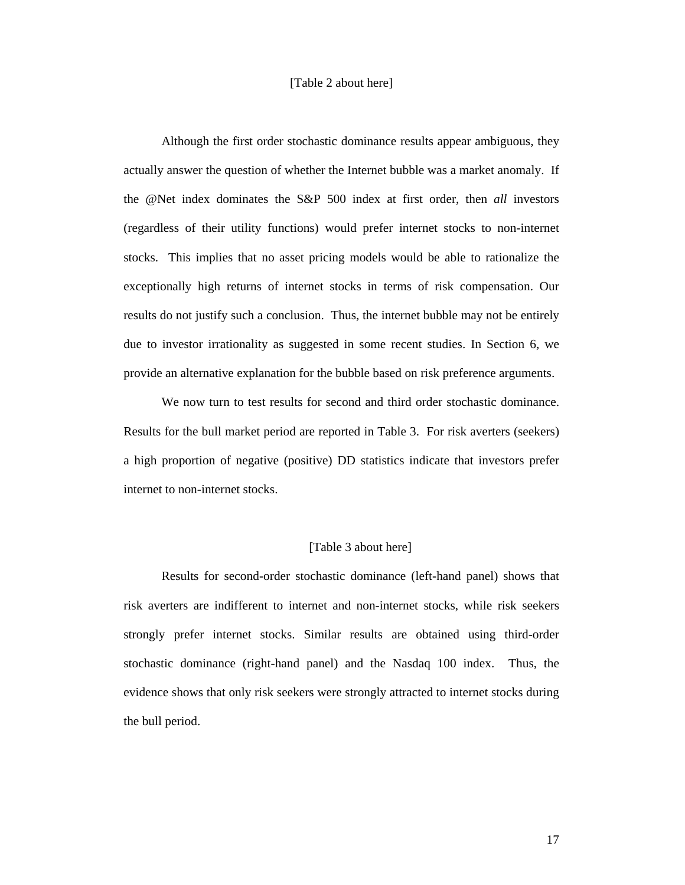### [Table 2 about here]

Although the first order stochastic dominance results appear ambiguous, they actually answer the question of whether the Internet bubble was a market anomaly. If the @Net index dominates the S&P 500 index at first order, then *all* investors (regardless of their utility functions) would prefer internet stocks to non-internet stocks. This implies that no asset pricing models would be able to rationalize the exceptionally high returns of internet stocks in terms of risk compensation. Our results do not justify such a conclusion. Thus, the internet bubble may not be entirely due to investor irrationality as suggested in some recent studies. In Section 6, we provide an alternative explanation for the bubble based on risk preference arguments.

We now turn to test results for second and third order stochastic dominance. Results for the bull market period are reported in Table 3. For risk averters (seekers) a high proportion of negative (positive) DD statistics indicate that investors prefer internet to non-internet stocks.

#### [Table 3 about here]

Results for second-order stochastic dominance (left-hand panel) shows that risk averters are indifferent to internet and non-internet stocks, while risk seekers strongly prefer internet stocks. Similar results are obtained using third-order stochastic dominance (right-hand panel) and the Nasdaq 100 index. Thus, the evidence shows that only risk seekers were strongly attracted to internet stocks during the bull period.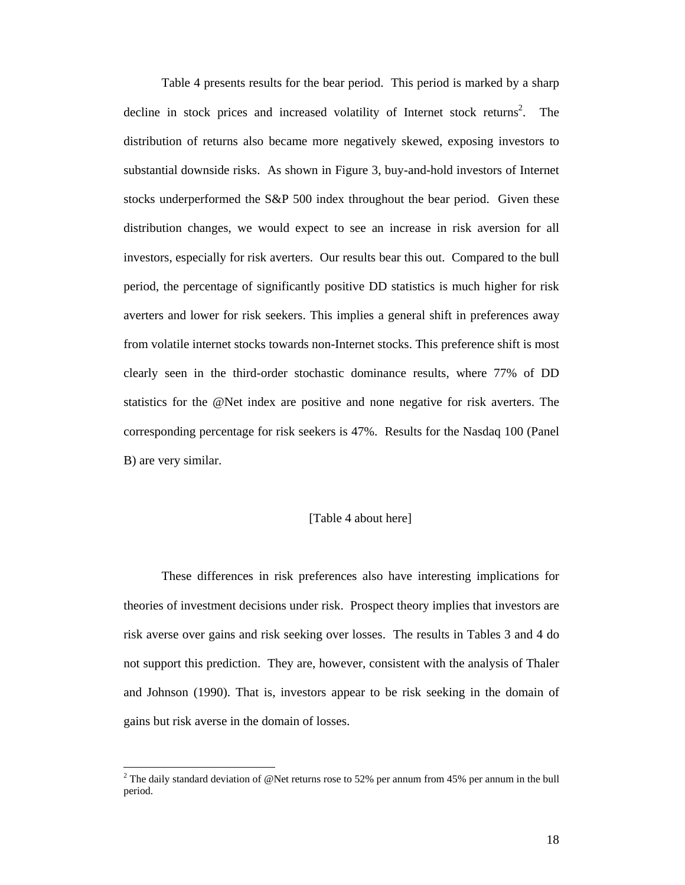Table 4 presents results for the bear period. This period is marked by a sharp decline in stock prices and increased volatility of Internet stock returns<sup>2</sup>. The distribution of returns also became more negatively skewed, exposing investors to substantial downside risks. As shown in Figure 3, buy-and-hold investors of Internet stocks underperformed the S&P 500 index throughout the bear period. Given these distribution changes, we would expect to see an increase in risk aversion for all investors, especially for risk averters. Our results bear this out. Compared to the bull period, the percentage of significantly positive DD statistics is much higher for risk averters and lower for risk seekers. This implies a general shift in preferences away from volatile internet stocks towards non-Internet stocks. This preference shift is most clearly seen in the third-order stochastic dominance results, where 77% of DD statistics for the @Net index are positive and none negative for risk averters. The corresponding percentage for risk seekers is 47%. Results for the Nasdaq 100 (Panel B) are very similar.

#### [Table 4 about here]

These differences in risk preferences also have interesting implications for theories of investment decisions under risk. Prospect theory implies that investors are risk averse over gains and risk seeking over losses. The results in Tables 3 and 4 do not support this prediction. They are, however, consistent with the analysis of Thaler and Johnson (1990). That is, investors appear to be risk seeking in the domain of gains but risk averse in the domain of losses.

 $\overline{a}$ 

<sup>&</sup>lt;sup>2</sup> The daily standard deviation of @Net returns rose to 52% per annum from 45% per annum in the bull period.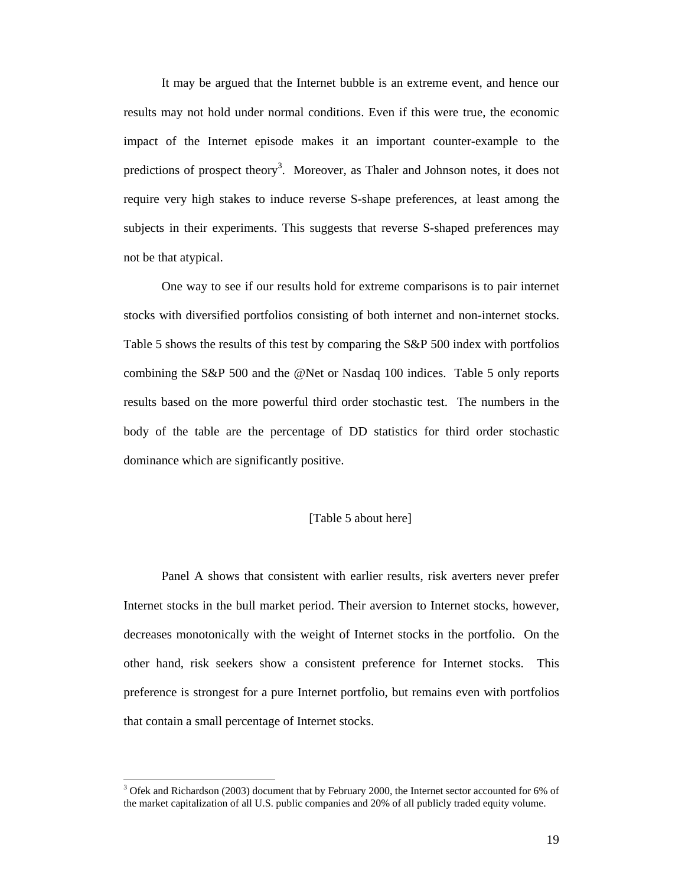It may be argued that the Internet bubble is an extreme event, and hence our results may not hold under normal conditions. Even if this were true, the economic impact of the Internet episode makes it an important counter-example to the predictions of prospect theory<sup>3</sup>. Moreover, as Thaler and Johnson notes, it does not require very high stakes to induce reverse S-shape preferences, at least among the subjects in their experiments. This suggests that reverse S-shaped preferences may not be that atypical.

One way to see if our results hold for extreme comparisons is to pair internet stocks with diversified portfolios consisting of both internet and non-internet stocks. Table 5 shows the results of this test by comparing the S&P 500 index with portfolios combining the S&P 500 and the @Net or Nasdaq 100 indices. Table 5 only reports results based on the more powerful third order stochastic test. The numbers in the body of the table are the percentage of DD statistics for third order stochastic dominance which are significantly positive.

#### [Table 5 about here]

Panel A shows that consistent with earlier results, risk averters never prefer Internet stocks in the bull market period. Their aversion to Internet stocks, however, decreases monotonically with the weight of Internet stocks in the portfolio. On the other hand, risk seekers show a consistent preference for Internet stocks. This preference is strongest for a pure Internet portfolio, but remains even with portfolios that contain a small percentage of Internet stocks.

 $\overline{a}$ 

<sup>&</sup>lt;sup>3</sup> Ofek and Richardson (2003) document that by February 2000, the Internet sector accounted for 6% of the market capitalization of all U.S. public companies and 20% of all publicly traded equity volume.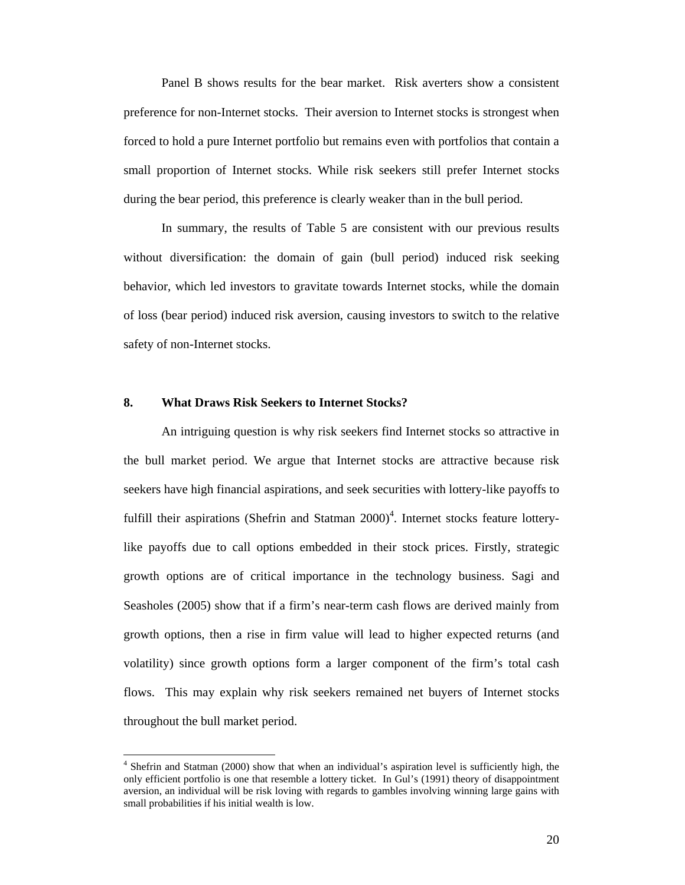Panel B shows results for the bear market. Risk averters show a consistent preference for non-Internet stocks. Their aversion to Internet stocks is strongest when forced to hold a pure Internet portfolio but remains even with portfolios that contain a small proportion of Internet stocks. While risk seekers still prefer Internet stocks during the bear period, this preference is clearly weaker than in the bull period.

In summary, the results of Table 5 are consistent with our previous results without diversification: the domain of gain (bull period) induced risk seeking behavior, which led investors to gravitate towards Internet stocks, while the domain of loss (bear period) induced risk aversion, causing investors to switch to the relative safety of non-Internet stocks.

# **8. What Draws Risk Seekers to Internet Stocks?**

 $\overline{a}$ 

An intriguing question is why risk seekers find Internet stocks so attractive in the bull market period. We argue that Internet stocks are attractive because risk seekers have high financial aspirations, and seek securities with lottery-like payoffs to fulfill their aspirations (Shefrin and Statman 2000)<sup>4</sup>. Internet stocks feature lotterylike payoffs due to call options embedded in their stock prices. Firstly, strategic growth options are of critical importance in the technology business. Sagi and Seasholes (2005) show that if a firm's near-term cash flows are derived mainly from growth options, then a rise in firm value will lead to higher expected returns (and volatility) since growth options form a larger component of the firm's total cash flows. This may explain why risk seekers remained net buyers of Internet stocks throughout the bull market period.

<sup>&</sup>lt;sup>4</sup> Shefrin and Statman (2000) show that when an individual's aspiration level is sufficiently high, the only efficient portfolio is one that resemble a lottery ticket. In Gul's (1991) theory of disappointment aversion, an individual will be risk loving with regards to gambles involving winning large gains with small probabilities if his initial wealth is low.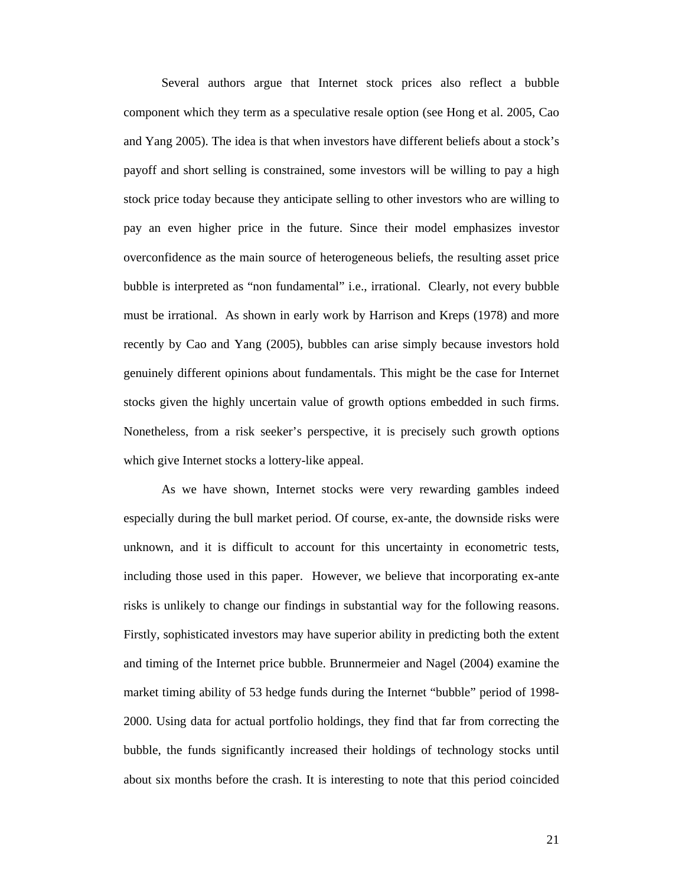Several authors argue that Internet stock prices also reflect a bubble component which they term as a speculative resale option (see Hong et al. 2005, Cao and Yang 2005). The idea is that when investors have different beliefs about a stock's payoff and short selling is constrained, some investors will be willing to pay a high stock price today because they anticipate selling to other investors who are willing to pay an even higher price in the future. Since their model emphasizes investor overconfidence as the main source of heterogeneous beliefs, the resulting asset price bubble is interpreted as "non fundamental" i.e., irrational. Clearly, not every bubble must be irrational. As shown in early work by Harrison and Kreps (1978) and more recently by Cao and Yang (2005), bubbles can arise simply because investors hold genuinely different opinions about fundamentals. This might be the case for Internet stocks given the highly uncertain value of growth options embedded in such firms. Nonetheless, from a risk seeker's perspective, it is precisely such growth options which give Internet stocks a lottery-like appeal.

As we have shown, Internet stocks were very rewarding gambles indeed especially during the bull market period. Of course, ex-ante, the downside risks were unknown, and it is difficult to account for this uncertainty in econometric tests, including those used in this paper. However, we believe that incorporating ex-ante risks is unlikely to change our findings in substantial way for the following reasons. Firstly, sophisticated investors may have superior ability in predicting both the extent and timing of the Internet price bubble. Brunnermeier and Nagel (2004) examine the market timing ability of 53 hedge funds during the Internet "bubble" period of 1998- 2000. Using data for actual portfolio holdings, they find that far from correcting the bubble, the funds significantly increased their holdings of technology stocks until about six months before the crash. It is interesting to note that this period coincided

21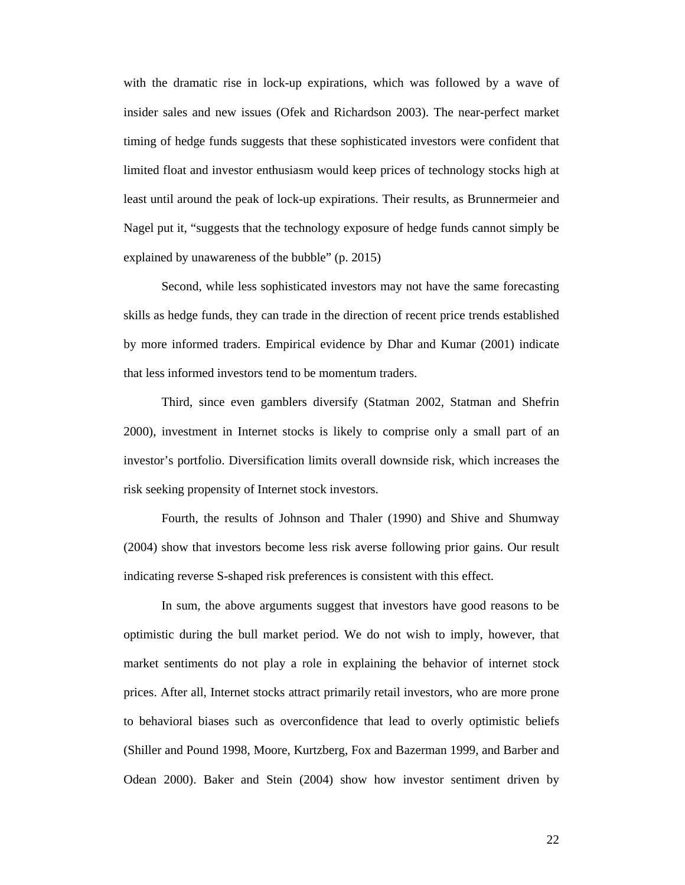with the dramatic rise in lock-up expirations, which was followed by a wave of insider sales and new issues (Ofek and Richardson 2003). The near-perfect market timing of hedge funds suggests that these sophisticated investors were confident that limited float and investor enthusiasm would keep prices of technology stocks high at least until around the peak of lock-up expirations. Their results, as Brunnermeier and Nagel put it, "suggests that the technology exposure of hedge funds cannot simply be explained by unawareness of the bubble" (p. 2015)

Second, while less sophisticated investors may not have the same forecasting skills as hedge funds, they can trade in the direction of recent price trends established by more informed traders. Empirical evidence by Dhar and Kumar (2001) indicate that less informed investors tend to be momentum traders.

Third, since even gamblers diversify (Statman 2002, Statman and Shefrin 2000), investment in Internet stocks is likely to comprise only a small part of an investor's portfolio. Diversification limits overall downside risk, which increases the risk seeking propensity of Internet stock investors.

Fourth, the results of Johnson and Thaler (1990) and Shive and Shumway (2004) show that investors become less risk averse following prior gains. Our result indicating reverse S-shaped risk preferences is consistent with this effect.

In sum, the above arguments suggest that investors have good reasons to be optimistic during the bull market period. We do not wish to imply, however, that market sentiments do not play a role in explaining the behavior of internet stock prices. After all, Internet stocks attract primarily retail investors, who are more prone to behavioral biases such as overconfidence that lead to overly optimistic beliefs (Shiller and Pound 1998, Moore, Kurtzberg, Fox and Bazerman 1999, and Barber and Odean 2000). Baker and Stein (2004) show how investor sentiment driven by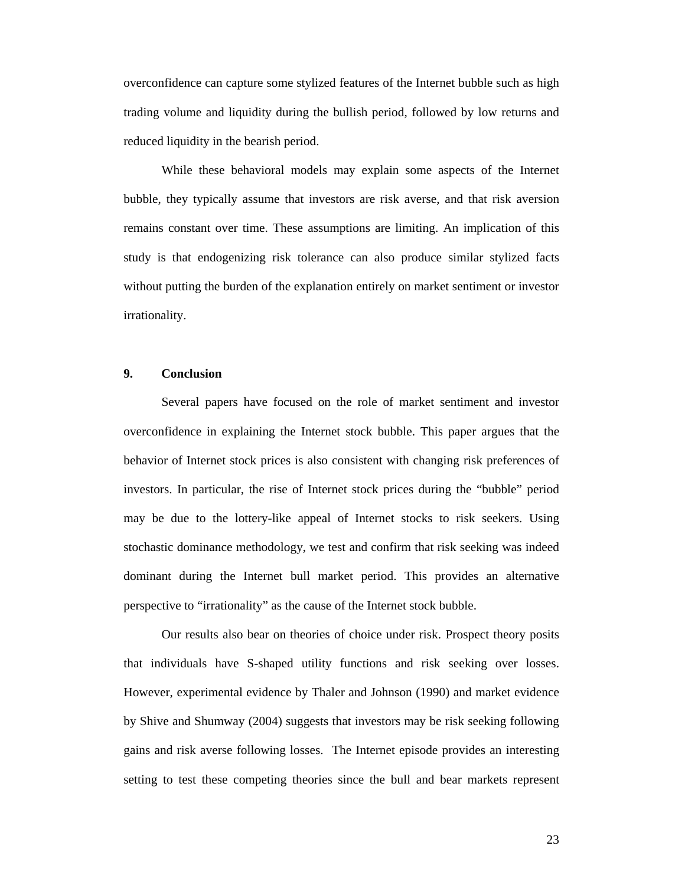overconfidence can capture some stylized features of the Internet bubble such as high trading volume and liquidity during the bullish period, followed by low returns and reduced liquidity in the bearish period.

While these behavioral models may explain some aspects of the Internet bubble, they typically assume that investors are risk averse, and that risk aversion remains constant over time. These assumptions are limiting. An implication of this study is that endogenizing risk tolerance can also produce similar stylized facts without putting the burden of the explanation entirely on market sentiment or investor irrationality.

## **9. Conclusion**

Several papers have focused on the role of market sentiment and investor overconfidence in explaining the Internet stock bubble. This paper argues that the behavior of Internet stock prices is also consistent with changing risk preferences of investors. In particular, the rise of Internet stock prices during the "bubble" period may be due to the lottery-like appeal of Internet stocks to risk seekers. Using stochastic dominance methodology, we test and confirm that risk seeking was indeed dominant during the Internet bull market period. This provides an alternative perspective to "irrationality" as the cause of the Internet stock bubble.

Our results also bear on theories of choice under risk. Prospect theory posits that individuals have S-shaped utility functions and risk seeking over losses. However, experimental evidence by Thaler and Johnson (1990) and market evidence by Shive and Shumway (2004) suggests that investors may be risk seeking following gains and risk averse following losses. The Internet episode provides an interesting setting to test these competing theories since the bull and bear markets represent

23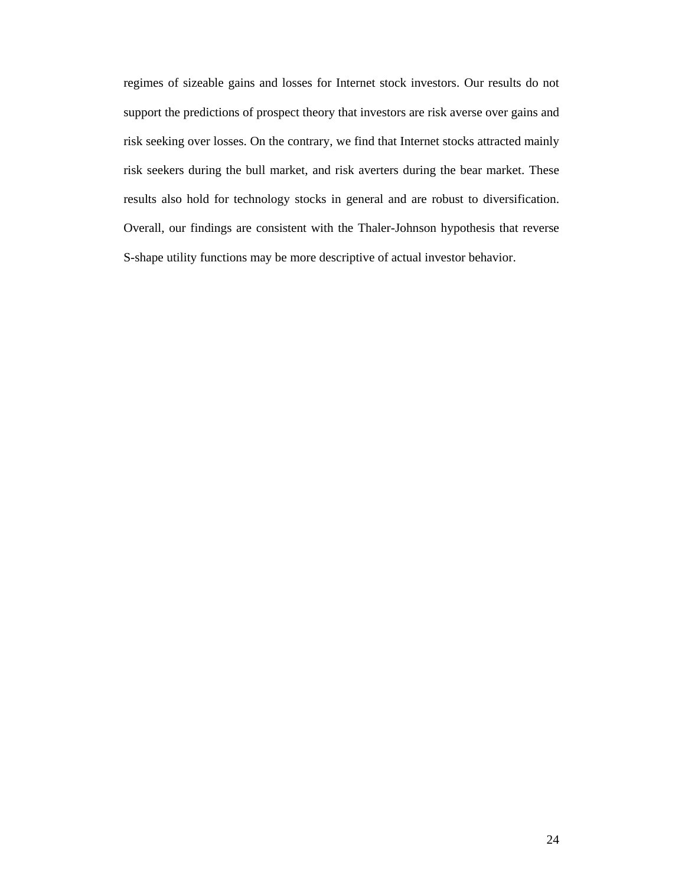regimes of sizeable gains and losses for Internet stock investors. Our results do not support the predictions of prospect theory that investors are risk averse over gains and risk seeking over losses. On the contrary, we find that Internet stocks attracted mainly risk seekers during the bull market, and risk averters during the bear market. These results also hold for technology stocks in general and are robust to diversification. Overall, our findings are consistent with the Thaler-Johnson hypothesis that reverse S-shape utility functions may be more descriptive of actual investor behavior.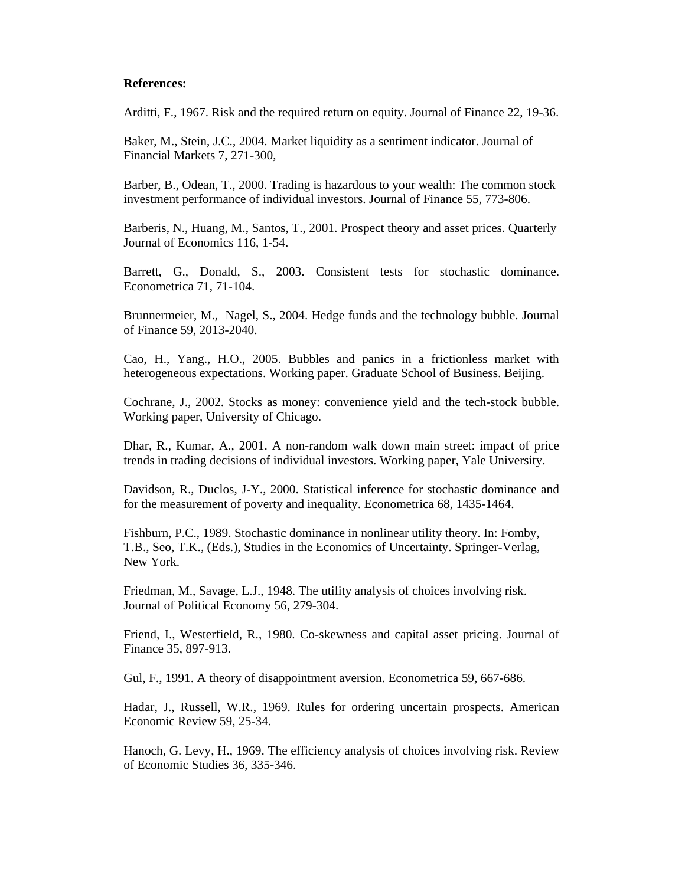#### **References:**

Arditti, F., 1967. Risk and the required return on equity. Journal of Finance 22, 19-36.

Baker, M., Stein, J.C., 2004. Market liquidity as a sentiment indicator. Journal of Financial Markets 7, 271-300,

Barber, B., Odean, T., 2000. Trading is hazardous to your wealth: The common stock investment performance of individual investors. Journal of Finance 55, 773-806.

Barberis, N., Huang, M., Santos, T., 2001. Prospect theory and asset prices. Quarterly Journal of Economics 116, 1-54.

Barrett, G., Donald, S., 2003. Consistent tests for stochastic dominance. Econometrica 71, 71-104.

Brunnermeier, M., Nagel, S., 2004. Hedge funds and the technology bubble. Journal of Finance 59, 2013-2040.

Cao, H., Yang., H.O., 2005. Bubbles and panics in a frictionless market with heterogeneous expectations. Working paper. Graduate School of Business. Beijing.

Cochrane, J., 2002. Stocks as money: convenience yield and the tech-stock bubble. Working paper, University of Chicago.

Dhar, R., Kumar, A., 2001. A non-random walk down main street: impact of price trends in trading decisions of individual investors. Working paper, Yale University.

Davidson, R., Duclos, J-Y., 2000. Statistical inference for stochastic dominance and for the measurement of poverty and inequality. Econometrica 68, 1435-1464.

Fishburn, P.C., 1989. Stochastic dominance in nonlinear utility theory. In: Fomby, T.B., Seo, T.K., (Eds.), Studies in the Economics of Uncertainty. Springer-Verlag, New York.

Friedman, M., Savage, L.J., 1948. The utility analysis of choices involving risk. Journal of Political Economy 56, 279-304.

Friend, I., Westerfield, R., 1980. Co-skewness and capital asset pricing. Journal of Finance 35, 897-913.

Gul, F., 1991. A theory of disappointment aversion. Econometrica 59, 667-686.

Hadar, J., Russell, W.R., 1969. Rules for ordering uncertain prospects. American Economic Review 59, 25-34.

Hanoch, G. Levy, H., 1969. The efficiency analysis of choices involving risk. Review of Economic Studies 36, 335-346.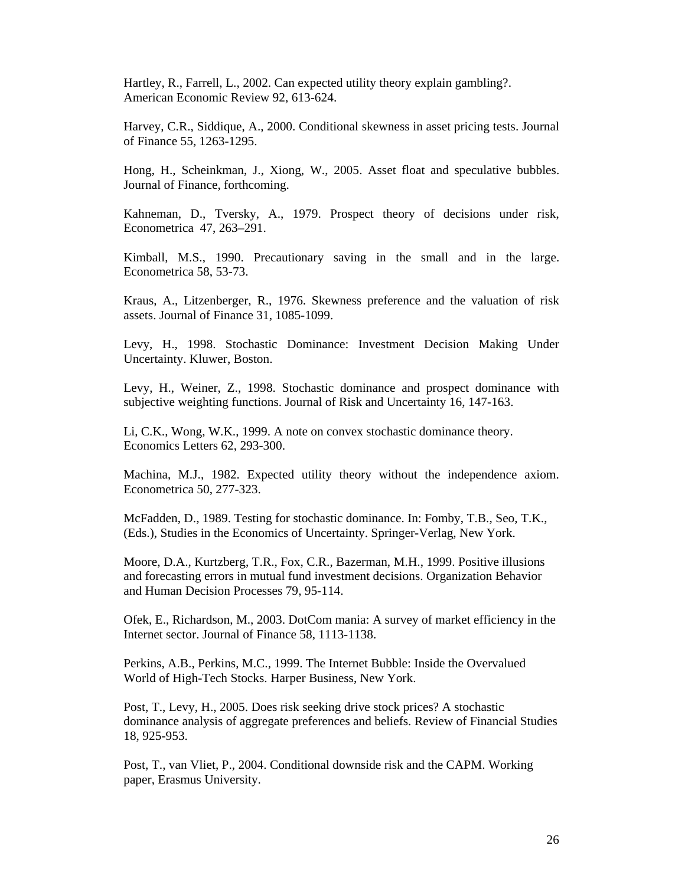Hartley, R., Farrell, L., 2002. Can expected utility theory explain gambling?. American Economic Review 92, 613-624.

Harvey, C.R., Siddique, A., 2000. Conditional skewness in asset pricing tests. Journal of Finance 55, 1263-1295.

Hong, H., Scheinkman, J., Xiong, W., 2005. Asset float and speculative bubbles. Journal of Finance, forthcoming.

Kahneman, D., Tversky, A., 1979. Prospect theory of decisions under risk, Econometrica 47, 263–291.

Kimball, M.S., 1990. Precautionary saving in the small and in the large. Econometrica 58, 53-73.

Kraus, A., Litzenberger, R., 1976. Skewness preference and the valuation of risk assets. Journal of Finance 31, 1085-1099.

Levy, H., 1998. Stochastic Dominance: Investment Decision Making Under Uncertainty. Kluwer, Boston.

Levy, H., Weiner, Z., 1998. Stochastic dominance and prospect dominance with subjective weighting functions. Journal of Risk and Uncertainty 16, 147-163.

Li, C.K., Wong, W.K., 1999. A note on convex stochastic dominance theory. Economics Letters 62, 293-300.

Machina, M.J., 1982. Expected utility theory without the independence axiom. Econometrica 50, 277-323.

McFadden, D., 1989. Testing for stochastic dominance. In: Fomby, T.B., Seo, T.K., (Eds.), Studies in the Economics of Uncertainty. Springer-Verlag, New York.

Moore, D.A., Kurtzberg, T.R., Fox, C.R., Bazerman, M.H., 1999. Positive illusions and forecasting errors in mutual fund investment decisions. Organization Behavior and Human Decision Processes 79, 95-114.

Ofek, E., Richardson, M., 2003. DotCom mania: A survey of market efficiency in the Internet sector. Journal of Finance 58, 1113-1138.

Perkins, A.B., Perkins, M.C., 1999. The Internet Bubble: Inside the Overvalued World of High-Tech Stocks. Harper Business, New York.

Post, T., Levy, H., 2005. Does risk seeking drive stock prices? A stochastic dominance analysis of aggregate preferences and beliefs. Review of Financial Studies 18, 925-953.

Post, T., van Vliet, P., 2004. Conditional downside risk and the CAPM. Working paper, Erasmus University.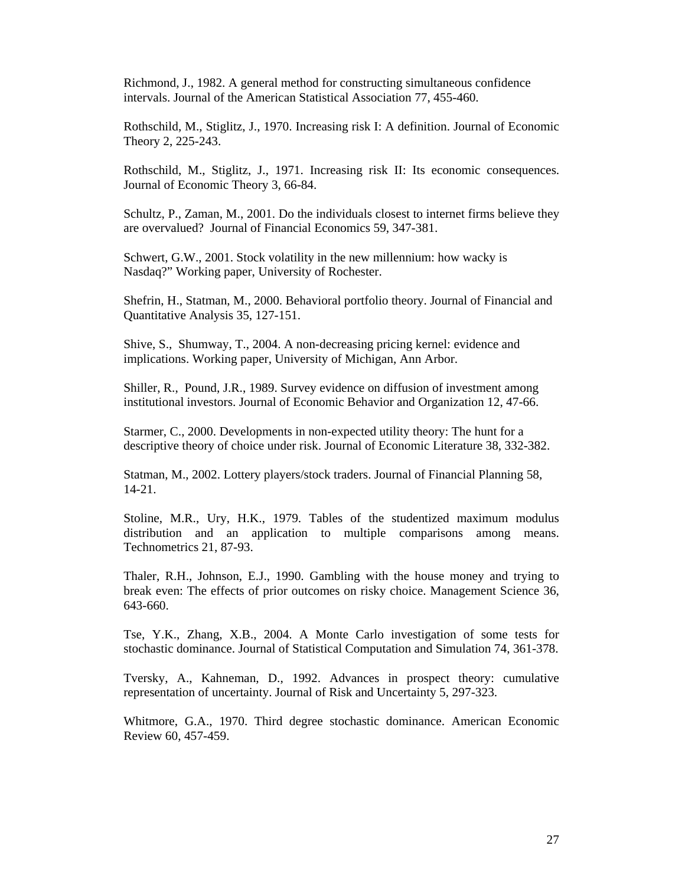Richmond, J., 1982. A general method for constructing simultaneous confidence intervals. Journal of the American Statistical Association 77, 455-460.

Rothschild, M., Stiglitz, J., 1970. Increasing risk I: A definition. Journal of Economic Theory 2, 225-243.

Rothschild, M., Stiglitz, J., 1971. Increasing risk II: Its economic consequences. Journal of Economic Theory 3, 66-84.

Schultz, P., Zaman, M., 2001. Do the individuals closest to internet firms believe they are overvalued? Journal of Financial Economics 59, 347-381.

Schwert, G.W., 2001. Stock volatility in the new millennium: how wacky is Nasdaq?" Working paper, University of Rochester.

Shefrin, H., Statman, M., 2000. Behavioral portfolio theory. Journal of Financial and Quantitative Analysis 35, 127-151.

Shive, S., Shumway, T., 2004. A non-decreasing pricing kernel: evidence and implications. Working paper, University of Michigan, Ann Arbor.

Shiller, R., Pound, J.R., 1989. Survey evidence on diffusion of investment among institutional investors. Journal of Economic Behavior and Organization 12, 47-66.

Starmer, C., 2000. Developments in non-expected utility theory: The hunt for a descriptive theory of choice under risk. Journal of Economic Literature 38, 332-382.

Statman, M., 2002. Lottery players/stock traders. Journal of Financial Planning 58, 14-21.

Stoline, M.R., Ury, H.K., 1979. Tables of the studentized maximum modulus distribution and an application to multiple comparisons among means. Technometrics 21, 87-93.

Thaler, R.H., Johnson, E.J., 1990. Gambling with the house money and trying to break even: The effects of prior outcomes on risky choice. Management Science 36, 643-660.

Tse, Y.K., Zhang, X.B., 2004. A Monte Carlo investigation of some tests for stochastic dominance. Journal of Statistical Computation and Simulation 74, 361-378.

Tversky, A., Kahneman, D., 1992. Advances in prospect theory: cumulative representation of uncertainty. Journal of Risk and Uncertainty 5, 297-323.

Whitmore, G.A., 1970. Third degree stochastic dominance. American Economic Review 60, 457-459.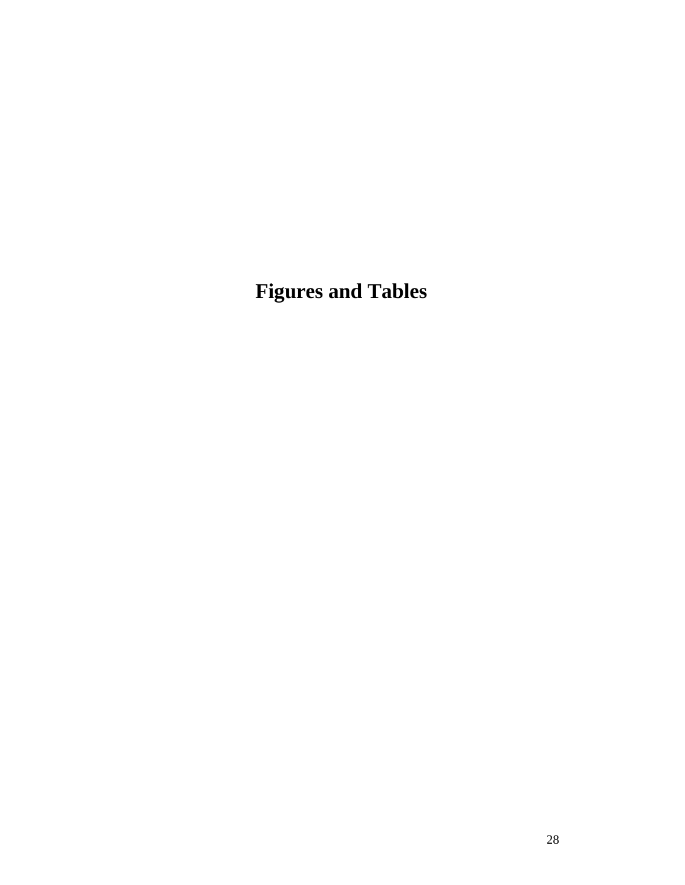**Figures and Tables**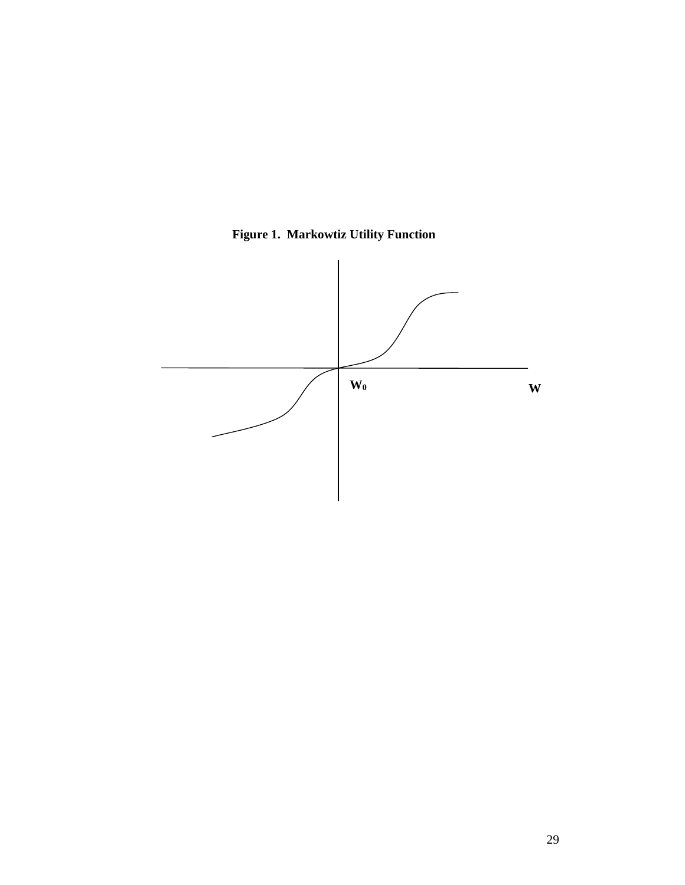

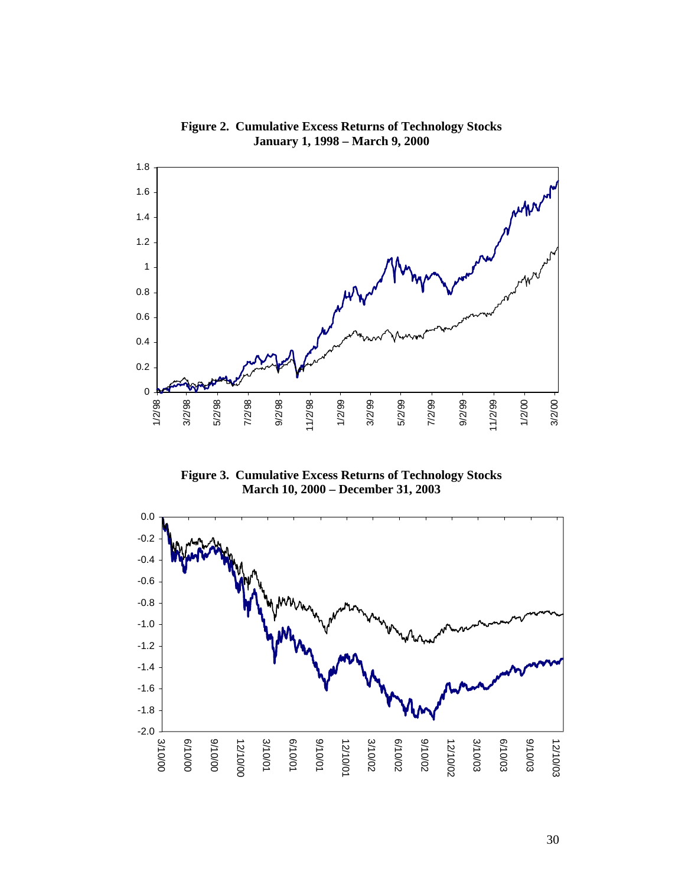

**Figure 2. Cumulative Excess Returns of Technology Stocks January 1, 1998 – March 9, 2000** 

**Figure 3. Cumulative Excess Returns of Technology Stocks March 10, 2000 – December 31, 2003** 

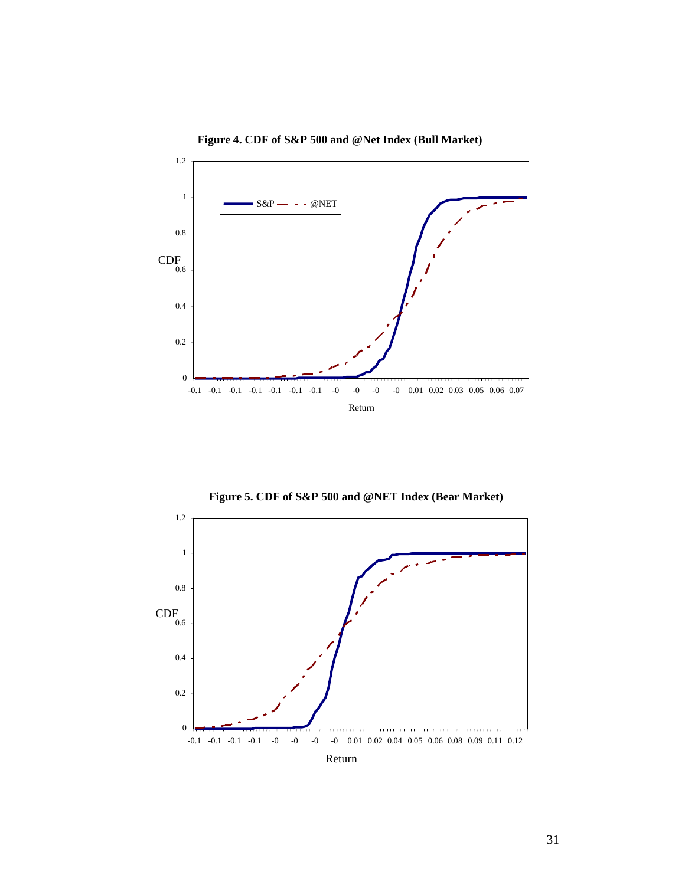

**Figure 4. CDF of S&P 500 and @Net Index (Bull Market)**

**Figure 5. CDF of S&P 500 and @NET Index (Bear Market)**



31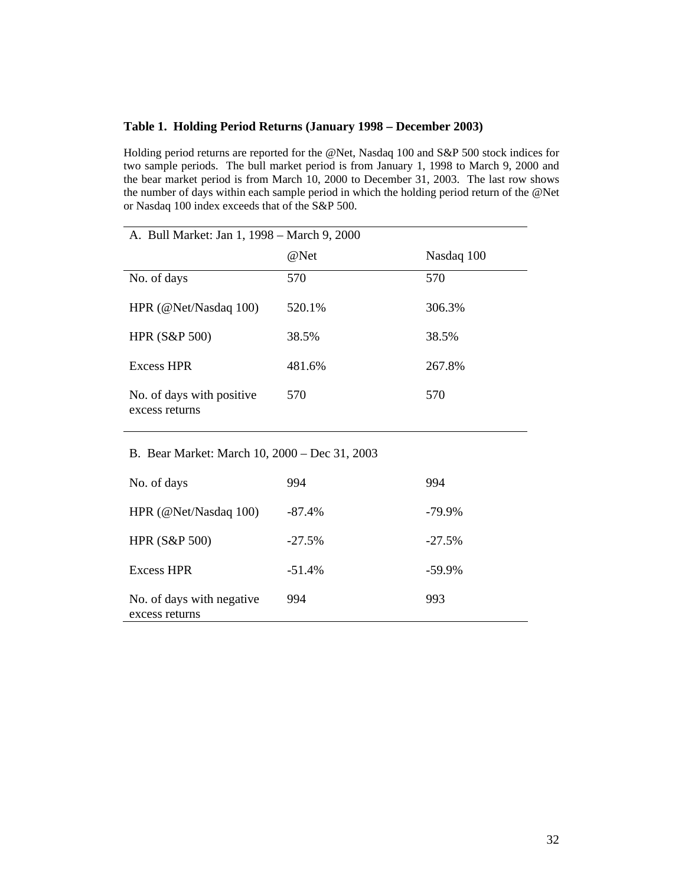## **Table 1. Holding Period Returns (January 1998 – December 2003)**

Holding period returns are reported for the @Net, Nasdaq 100 and S&P 500 stock indices for two sample periods. The bull market period is from January 1, 1998 to March 9, 2000 and the bear market period is from March 10, 2000 to December 31, 2003. The last row shows the number of days within each sample period in which the holding period return of the @Net or Nasdaq 100 index exceeds that of the S&P 500.

| A. Bull Market: Jan 1, 1998 - March 9, 2000   |          |            |  |  |
|-----------------------------------------------|----------|------------|--|--|
|                                               | @Net     | Nasdaq 100 |  |  |
| No. of days                                   | 570      | 570        |  |  |
| HPR (@Net/Nasdaq 100)                         | 520.1%   | 306.3%     |  |  |
| <b>HPR (S&amp;P 500)</b>                      | 38.5%    | 38.5%      |  |  |
| <b>Excess HPR</b>                             | 481.6%   | 267.8%     |  |  |
| No. of days with positive<br>excess returns   | 570      | 570        |  |  |
| B. Bear Market: March 10, 2000 - Dec 31, 2003 |          |            |  |  |
| No. of days                                   | 994      | 994        |  |  |
| HPR (@Net/Nasdaq 100)                         | $-87.4%$ | -79.9%     |  |  |
| <b>HPR (S&amp;P 500)</b>                      | $-27.5%$ | $-27.5%$   |  |  |
| <b>Excess HPR</b>                             | $-51.4%$ | $-59.9%$   |  |  |
| No. of days with negative<br>excess returns   | 994      | 993        |  |  |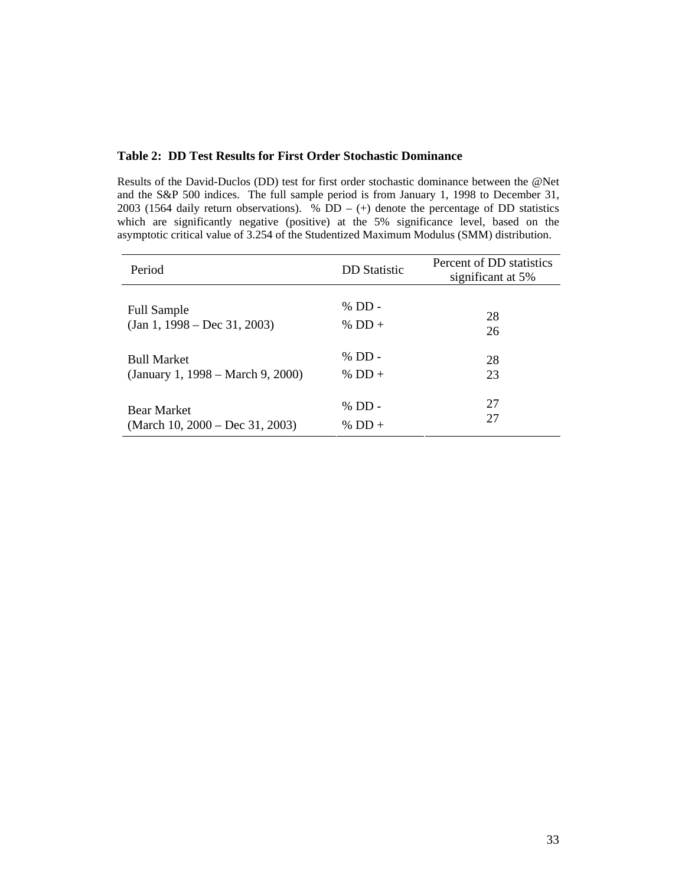# **Table 2: DD Test Results for First Order Stochastic Dominance**

Results of the David-Duclos (DD) test for first order stochastic dominance between the @Net and the S&P 500 indices. The full sample period is from January 1, 1998 to December 31, 2003 (1564 daily return observations).  $\%$  DD – (+) denote the percentage of DD statistics which are significantly negative (positive) at the 5% significance level, based on the asymptotic critical value of 3.254 of the Studentized Maximum Modulus (SMM) distribution.

| Period                             | <b>DD</b> Statistic | Percent of DD statistics<br>significant at 5% |
|------------------------------------|---------------------|-----------------------------------------------|
| <b>Full Sample</b>                 | $%$ DD -            | 28                                            |
| $(Jan 1, 1998 - Dec 31, 2003)$     | % DD +              | 26                                            |
| <b>Bull Market</b>                 | $%$ DD $-$          | 28                                            |
| (January 1, 1998 – March 9, 2000)  | % DD +              | 23                                            |
| <b>Bear Market</b>                 | $%$ DD $-$          | 27                                            |
| (March 10, $2000 - Dec 31, 2003$ ) | % DD $+$            | 27                                            |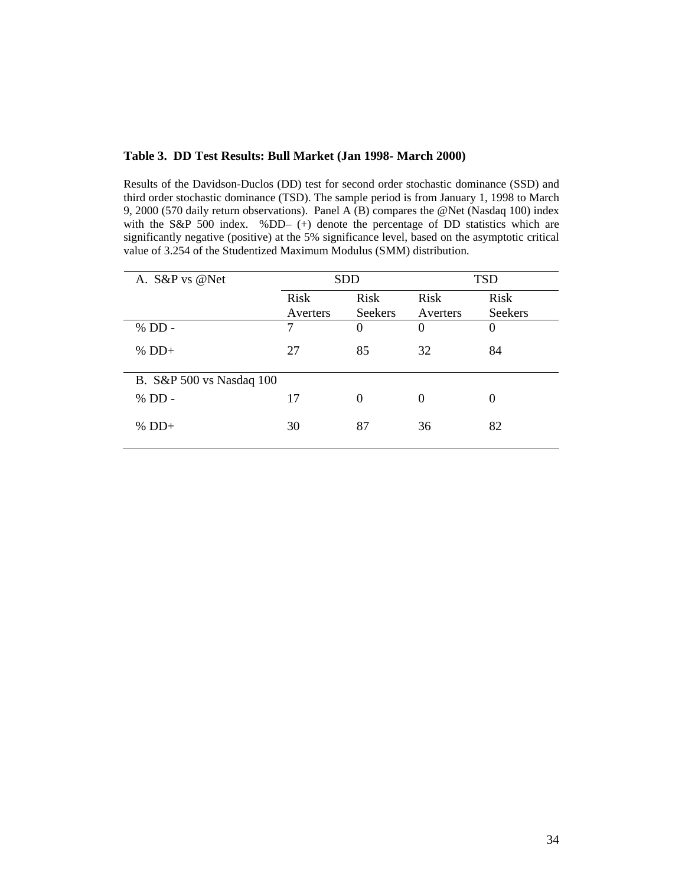# **Table 3. DD Test Results: Bull Market (Jan 1998- March 2000)**

Results of the Davidson-Duclos (DD) test for second order stochastic dominance (SSD) and third order stochastic dominance (TSD). The sample period is from January 1, 1998 to March 9, 2000 (570 daily return observations). Panel A (B) compares the @Net (Nasdaq 100) index with the S&P 500 index. %DD- (+) denote the percentage of DD statistics which are significantly negative (positive) at the 5% significance level, based on the asymptotic critical value of 3.254 of the Studentized Maximum Modulus (SMM) distribution.

| A. S&P vs @Net           | <b>SDD</b> |             | <b>TSD</b> |                |
|--------------------------|------------|-------------|------------|----------------|
|                          | Risk       | <b>Risk</b> | Risk       | <b>Risk</b>    |
|                          | Averters   | Seekers     | Averters   | <b>Seekers</b> |
| % DD -                   | 7          | $\Omega$    | $\theta$   | 0              |
| $%$ DD+                  | 27         | 85          | 32         | 84             |
| B. S&P 500 vs Nasdaq 100 |            |             |            |                |
| % DD -                   | 17         | $\theta$    | 0          | 0              |
| $%$ DD+                  | 30         | 87          | 36         | 82             |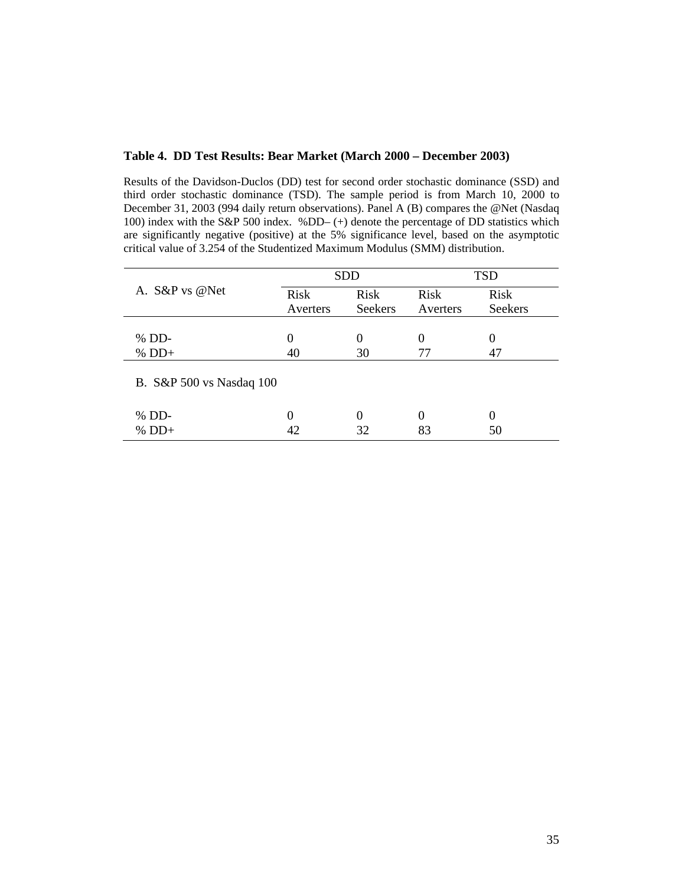#### **Table 4. DD Test Results: Bear Market (March 2000 – December 2003)**

Results of the Davidson-Duclos (DD) test for second order stochastic dominance (SSD) and third order stochastic dominance (TSD). The sample period is from March 10, 2000 to December 31, 2003 (994 daily return observations). Panel A (B) compares the @Net (Nasdaq 100) index with the S&P 500 index. %DD– (+) denote the percentage of DD statistics which are significantly negative (positive) at the 5% significance level, based on the asymptotic critical value of 3.254 of the Studentized Maximum Modulus (SMM) distribution.

| A. S&P vs @Net           |          | <b>SDD</b>     |          | <b>TSD</b>     |  |
|--------------------------|----------|----------------|----------|----------------|--|
|                          | Risk     | Risk           | Risk     | Risk           |  |
|                          | Averters | <b>Seekers</b> | Averters | <b>Seekers</b> |  |
|                          |          |                |          |                |  |
| $%$ DD-                  | $\Omega$ | $\Omega$       |          |                |  |
| $%$ DD+                  |          | 30             | 77       |                |  |
| B. S&P 500 vs Nasdaq 100 |          |                |          |                |  |
| $%$ DD-                  | 0        | 0              |          |                |  |
| $%$ DD+                  |          | 32             | 83       | 50             |  |